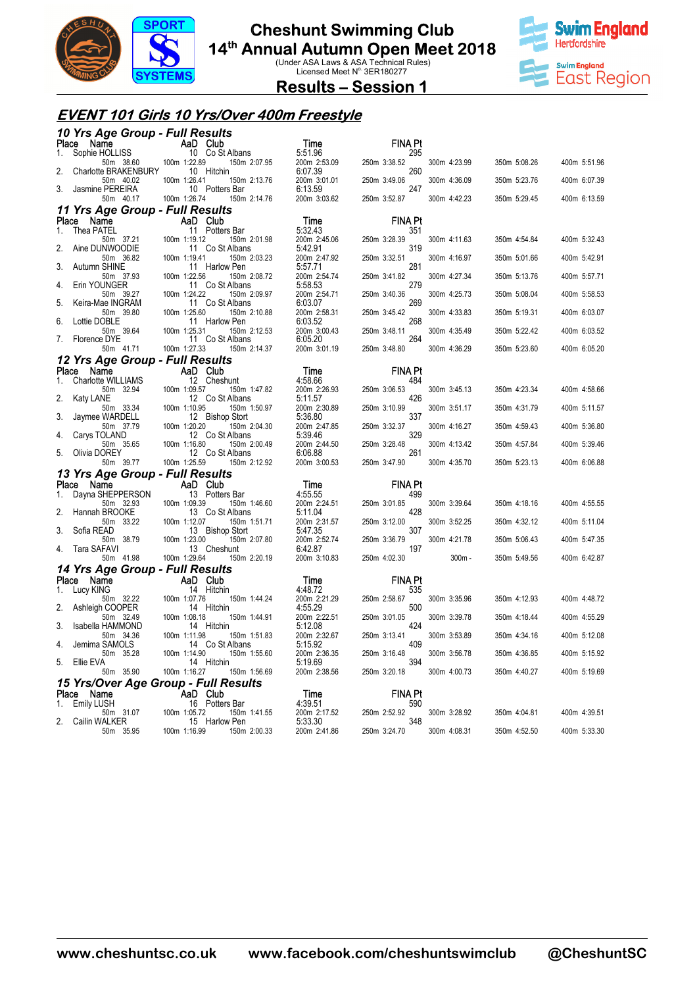

### **Cheshunt Swimming Club**

# **14<sup>th</sup> Annual Autumn Open Meet 2018**<br>
Under ASA Laws & ASA Technical Rules)<br>
Licensed Meet N<sup>o.</sup> 3ER180277



**Results – Session 1** 

### **EVENT 101 Girls 10 Yrs/Over 400m Freestyle**

|             | 10 Yrs Age Group - Full Results                  |                             |                                 |                         |                       |              |              |              |
|-------------|--------------------------------------------------|-----------------------------|---------------------------------|-------------------------|-----------------------|--------------|--------------|--------------|
|             | Ce Name<br>Sophie HOLLISS 10 Co St<br>Place Name |                             |                                 | Time                    | <b>FINA Pt</b>        |              |              |              |
| 1.          | 50m 38.60 100m 1:22.89                           |                             | 10 Co St Albans<br>150m 2:07.95 | 5:51.96<br>200m 2:53.09 | 295<br>250m 3:38.52   | 300m 4:23.99 | 350m 5:08.26 | 400m 5:51.96 |
| 2.          | Charlotte BRAKENBURY<br>50m 40.02                | 100m 1:26.41                | 10 Hitchin<br>150m 2:13.76      | 6:07.39<br>200m 3:01.01 | 260<br>250m 3:49.06   | 300m 4:36.09 | 350m 5:23.76 | 400m 6:07.39 |
| 3.          | Jasmine PEREIRA<br>50m 40.17                     | 100m 1:26.74                | 10 Potters Bar<br>150m 2:14.76  | 6:13.59<br>200m 3:03.62 | 247<br>250m 3:52.87   | 300m 4:42.23 | 350m 5:29.45 | 400m 6:13.59 |
|             | 11 Yrs Age Group - Full Results                  |                             |                                 |                         |                       |              |              |              |
|             | Place Name                                       | AaD Club                    |                                 | Time                    | <b>FINA Pt</b>        |              |              |              |
| 1.          | Thea PATEL                                       |                             | 11 Potters Bar                  | 5:32.43                 | 351                   |              |              |              |
| 2.          | 50m 37.21<br>Aine DUNWOODIE                      | 100m 1:19.12                | 150m 2:01.98<br>11 Co St Albans | 200m 2:45.06<br>5:42.91 | 250m 3:28.39<br>319   | 300m 4:11.63 | 350m 4:54.84 | 400m 5:32.43 |
| 3.          | 50m 36.82<br>Autumn SHINE                        | 100m 1:19.41                | 150m 2:03.23<br>11 Harlow Pen   | 200m 2:47.92<br>5:57.71 | 250m 3:32.51<br>281   | 300m 4:16.97 | 350m 5:01.66 | 400m 5:42.91 |
|             | 50m 37.93                                        | 100m 1:22.56                | 150m 2:08.72                    | 200m 2:54.74            | 250m 3:41.82          | 300m 4:27.34 | 350m 5:13.76 | 400m 5:57.71 |
| 4.          | Erin YOUNGER<br>50m 39.27                        | 100m 1:24.22                | 11 Co St Albans<br>150m 2:09.97 | 5:58.53<br>200m 2:54.71 | 279<br>250m 3:40.36   | 300m 4:25.73 | 350m 5:08.04 | 400m 5:58.53 |
| 5.          | Keira-Mae INGRAM                                 |                             | 11 Co St Albans                 | 6:03.07                 | 269                   |              |              |              |
| 6.          | 50m 39.80<br>Lottie DOBLE                        | 100m 1:25.60                | 150m 2:10.88<br>11 Harlow Pen   | 200m 2:58.31<br>6:03.52 | 250m 3:45.42<br>268   | 300m 4:33.83 | 350m 5:19.31 | 400m 6:03.07 |
| 7.          | 50m 39.64<br>Florence DYE                        | 100m 1:25.31                | 150m 2:12.53<br>11 Co St Albans | 200m 3:00.43<br>6:05.20 | 250m 3:48.11<br>264   | 300m 4:35.49 | 350m 5:22.42 | 400m 6:03.52 |
|             | 50m 41.71                                        | 100m 1:27.33                | 150m 2:14.37                    | 200m 3:01.19            | 250m 3:48.80          | 300m 4:36.29 | 350m 5:23.60 | 400m 6:05.20 |
|             | 12 Yrs Age Group - Full Results                  |                             |                                 |                         |                       |              |              |              |
| Place<br>1. | Name<br>Charlotte WILLIAMS                       | AaD Club                    | 12 Cheshunt                     | Time<br>4:58.66         | <b>FINA Pt</b><br>484 |              |              |              |
| 2.          | 50m 32.94<br>Katy LANE                           | 100m 1:09.57                | 150m 1:47.82<br>12 Co St Albans | 200m 2:26.93<br>5:11.57 | 250m 3:06.53<br>426   | 300m 3:45.13 | 350m 4:23.34 | 400m 4:58.66 |
|             | 50m 33.34                                        | 100m 1:10.95                | 150m 1:50.97                    | 200m 2:30.89            | 250m 3:10.99          | 300m 3:51.17 | 350m 4:31.79 | 400m 5:11.57 |
| 3.          | Jaymee WARDELL<br>50m 37.79                      | 100m 1:20.20                | 12 Bishop Stort<br>150m 2:04.30 | 5:36.80<br>200m 2:47.85 | 337<br>250m 3:32.37   | 300m 4:16.27 | 350m 4:59.43 | 400m 5:36.80 |
| 4.          | Carys TOLAND<br>50m 35.65                        | 100m 1:16.80                | 12 Co St Albans<br>150m 2:00.49 | 5:39.46<br>200m 2:44.50 | 329<br>250m 3:28.48   | 300m 4:13.42 | 350m 4:57.84 | 400m 5:39.46 |
| 5.          | Olivia DOREY<br>50m 39.77                        | 100m 1:25.59                | 12 Co St Albans<br>150m 2:12.92 | 6:06.88<br>200m 3:00.53 | 261<br>250m 3:47.90   | 300m 4:35.70 | 350m 5:23.13 | 400m 6:06.88 |
|             | 13 Yrs Age Group - Full Results                  |                             |                                 |                         |                       |              |              |              |
| Place       | Name                                             | AaD Club                    |                                 | Time                    | <b>FINA Pt</b>        |              |              |              |
| 1.          | Dayna SHEPPERSON                                 |                             | 13 Potters Bar                  | 4:55.55                 | 499                   |              |              |              |
| 2.          | 50m 32.93<br>Hannah BROOKE                       | 100m 1:09.39                | 150m 1:46.60<br>13 Co St Albans | 200m 2:24.51<br>5:11.04 | 250m 3:01.85<br>428   | 300m 3:39.64 | 350m 4:18.16 | 400m 4:55.55 |
| 3.          | 50m 33.22<br>Sofia READ                          | 100m 1:12.07                | 150m 1:51.71<br>13 Bishop Stort | 200m 2:31.57<br>5:47.35 | 250m 3:12.00<br>307   | 300m 3:52.25 | 350m 4:32.12 | 400m 5:11.04 |
| 4.          | 50m 38.79<br>Tara SAFAVI                         | 100m 1:23.00<br>13 Cheshunt | 150m 2:07.80                    | 200m 2:52.74<br>6:42.87 | 250m 3:36.79<br>197   | 300m 4:21.78 | 350m 5:06.43 | 400m 5:47.35 |
|             | 50m 41.98                                        | 100m 1:29.64                | 150m 2:20.19                    | 200m 3:10.83            | 250m 4:02.30          | $300m -$     | 350m 5:49.56 | 400m 6:42.87 |
|             | 14 Yrs Age Group - Full Results                  |                             |                                 |                         |                       |              |              |              |
| 1.          | Place Name<br>Lucy KING                          | <b>Example 2</b> AaD Club   | 14 Hitchin                      | Time<br>4:48.72         | <b>FINA Pt</b><br>535 |              |              |              |
|             | 50m 32.22                                        | 100m 1:07.76                | 150m 1:44.24                    | 200m 2:21.29            | 250m 2:58.67          | 300m 3:35.96 | 350m 4:12.93 | 400m 4:48.72 |
| 2.          | Ashleigh COOPER<br>50m 32.49                     | 100m 1:08.18                | 14 Hitchin<br>150m 1:44.91      | 4:55.29<br>200m 2:22.51 | 500<br>250m 3:01.05   | 300m 3:39.78 | 350m 4:18.44 | 400m 4:55.29 |
| 3.          | Isabella HAMMOND                                 |                             | 14 Hitchin                      | 5:12.08                 | 424                   |              |              |              |
| 4.          | 50m 34.36<br>Jemima SAMOLS                       | 100m 1:11.98                | 150m 1:51.83<br>14 Co St Albans | 200m 2:32.67<br>5:15.92 | 250m 3:13.41<br>409   | 300m 3:53.89 | 350m 4:34.16 | 400m 5:12.08 |
| 5.          | 50m 35.28<br>Ellie EVA                           | 100m 1:14.90                | 150m 1:55.60<br>14 Hitchin      | 200m 2:36.35<br>5:19.69 | 250m 3:16.48<br>394   | 300m 3:56.78 | 350m 4:36.85 | 400m 5:15.92 |
|             | 50m 35.90                                        | 100m 1:16.27                | 150m 1:56.69                    | 200m 2:38.56            | 250m 3:20.18          | 300m 4:00.73 | 350m 4:40.27 | 400m 5:19.69 |
|             | 15 Yrs/Over Age Group - Full Results             |                             |                                 |                         |                       |              |              |              |
| 1.          | Place Name<br>Emily LUSH                         | <b>Example 1</b> AaD Club   | 16 Potters Bar                  | Time<br>4:39.51         | <b>FINA Pt</b><br>590 |              |              |              |
| 2.          | 50m 31.07                                        | 100m 1:05.72                | 150m 1:41.55                    | 200m 2:17.52<br>5:33.30 | 250m 2:52.92<br>348   | 300m 3:28.92 | 350m 4:04.81 | 400m 4:39.51 |
|             | Cailin WALKER<br>50m 35.95                       | 100m 1:16.99                | 15 Harlow Pen<br>150m 2:00.33   | 200m 2:41.86            | 250m 3:24.70          | 300m 4:08.31 | 350m 4:52.50 | 400m 5:33.30 |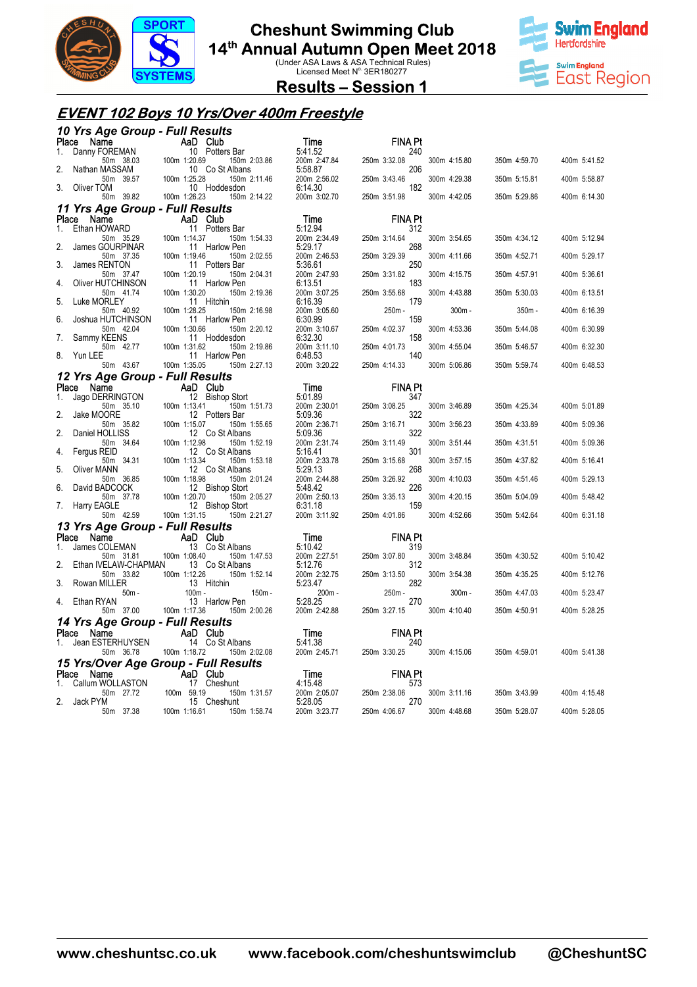

### **Cheshunt Swimming Club**

**14<sup>th</sup> Annual Autumn Open Meet 2018**<br>
Under ASA Laws & ASA Technical Rules)<br>
Licensed Meet N<sup>o.</sup> 3ER180277



**Results – Session 1** 

#### **EVENT 102 Boys 10 Yrs/Over 400m Freestyle**

|             |                                                                  | 10 Yrs Age Group - Full Results                                 |                                             |                            |              |              |              |
|-------------|------------------------------------------------------------------|-----------------------------------------------------------------|---------------------------------------------|----------------------------|--------------|--------------|--------------|
| Place Name  |                                                                  | <b>Ce Name</b><br>Danny FOREMAN<br>10 Potters Bar               | Time                                        | <b>FINA Pt</b>             |              |              |              |
| 1.<br>2.    | 50m 38.03                                                        | ا<br>100m 1:20.69<br>10<br>150m 2:03.86                         | 5:41.52<br>200m 2:47.84                     | 240<br>250m 3:32.08<br>206 | 300m 4:15.80 | 350m 4:59.70 | 400m 5:41.52 |
|             | Nathan MASSAM<br>50m 39.57                                       | 10 Co St Albans<br>100m 1:25.28<br>150m 2:11.46                 | 5:58.87<br>200m 2:56.02                     | 250m 3:43.46               | 300m 4:29.38 | 350m 5:15.81 | 400m 5:58.87 |
| 3.          | Oliver TOM<br>50m 39.82                                          | 10 Hoddesdon<br>100m 1:26.23<br>150m 2:14.22                    | 6:14.30<br>200m 3:02.70                     | 182<br>250m 3:51.98        | 300m 4:42.05 | 350m 5:29.86 | 400m 6:14.30 |
|             |                                                                  | 11 Yrs Age Group - Full Results                                 |                                             |                            |              |              |              |
| Place Name  | wo <b>Name Manuform Aap Club</b><br>Ethan HOWARD <b>Aap Club</b> |                                                                 | Time                                        | <b>FINA Pt</b>             |              |              |              |
| $1_{-}$     | 50m 35.29                                                        | 11 Potters Bar<br>100m 1:14.37<br>150m 1:54.33                  | 5:12.94<br>200m 2:34.49                     | 312<br>250m 3:14.64        | 300m 3:54.65 | 350m 4:34.12 | 400m 5:12.94 |
| 2.          | James GOURPINAR                                                  | 11 Harlow Pen                                                   | 5:29.17                                     | 268                        |              |              |              |
| 3.          | 50m 37.35<br>James RENTON                                        | 100m 1:19.46<br>150m 2:02.55<br>11 Potters Bar                  | 200m 2:46.53<br>5:36.61                     | 250m 3:29.39<br>250        | 300m 4:11.66 | 350m 4:52.71 | 400m 5:29.17 |
| 4.          | 50m 37.47<br>Oliver HUTCHINSON                                   | 100m 1:20.19<br>150m 2:04.31<br>11 Harlow Pen                   | 200m 2:47.93<br>6:13.51                     | 250m 3:31.82<br>183        | 300m 4:15.75 | 350m 4:57.91 | 400m 5:36.61 |
|             | 50m 41.74                                                        | 100m 1:30.20<br>150m 2:19.36                                    | 200m 3:07.25                                | 250m 3:55.68               | 300m 4:43.88 | 350m 5:30.03 | 400m 6:13.51 |
| 5.          | Luke MORLEY<br>50m 40.92                                         | 11 Hitchin<br>100m 1:28.25<br>150m 2:16.98                      | 6:16.39<br>200m 3:05.60                     | 179<br>250m -              | $300m -$     | 350m -       | 400m 6:16.39 |
| 6.          | Joshua HUTCHINSON                                                | 11 Harlow Pen                                                   | 6:30.99                                     | 159                        |              |              |              |
| 7.          | 50m 42.04<br>Sammy KEENS                                         | 100m 1:30.66<br>150m 2:20.12<br>11 Hoddesdon                    | 200m 3:10.67<br>6:32.30                     | 250m 4:02.37<br>158        | 300m 4:53.36 | 350m 5:44.08 | 400m 6:30.99 |
|             | 50m 42.77<br>Yun LEE                                             | 100m 1:31.62<br>150m 2:19.86                                    | 200m 3:11.10                                | 250m 4:01.73<br>140        | 300m 4:55.04 | 350m 5:46.57 | 400m 6:32.30 |
| 8.          | 50m 43.67                                                        | 11 Harlow Pen<br>100m 1:35.05<br>150m 2:27.13                   | 6:48.53<br>200m 3:20.22                     | 250m 4:14.33               | 300m 5:06.86 | 350m 5:59.74 | 400m 6:48.53 |
|             |                                                                  | 12 Yrs Age Group - Full Results                                 |                                             |                            |              |              |              |
| Place<br>1. | Name<br>Jago DERRINGTON                                          | AaD Club<br>12 Bishop Stort                                     | Time<br>5:01.89                             | <b>FINA Pt</b><br>347      |              |              |              |
|             | 50m 35.10                                                        | 100m 1:13.41<br>150m 1:51.73                                    | 200m 2:30.01                                | 250m 3:08.25               | 300m 3:46.89 | 350m 4:25.34 | 400m 5:01.89 |
| 2.          | Jake MOORE<br>50m 35.82                                          | 12 Potters Bar<br>100m 1:15.07<br>150m 1:55.65                  | 5:09.36<br>200m 2:36.71                     | 322<br>250m 3:16.71        | 300m 3:56.23 | 350m 4:33.89 | 400m 5:09.36 |
| 2.          | Daniel HOLLISS                                                   | 12 Co St Albans                                                 | 5:09.36                                     | 322                        |              |              |              |
| 4.          | 50m 34.64<br>Fergus REID                                         | 100m 1:12.98<br>150m 1:52.19<br>12 Co St Albans                 | 200m 2:31.74<br>5:16.41                     | 250m 3:11.49<br>301        | 300m 3:51.44 | 350m 4:31.51 | 400m 5:09.36 |
| 5.          | 50m 34.31<br>Oliver MANN                                         | 100m 1:13.34<br>150m 1:53.18<br>12 Co St Albans                 | 200m 2:33.78<br>5:29.13                     | 250m 3:15.68<br>268        | 300m 3:57.15 | 350m 4:37.82 | 400m 5:16.41 |
| 6.          | 50m 36.85<br>David BADCOCK                                       | 100m 1:18.98<br>150m 2:01.24<br>12 Bishop Stort                 | 200m 2:44.88<br>5:48.42                     | 250m 3:26.92<br>226        | 300m 4:10.03 | 350m 4:51.46 | 400m 5:29.13 |
|             | 50m 37.78                                                        | 100m 1:20.70<br>150m 2:05.27                                    | 200m 2:50.13                                | 250m 3:35.13               | 300m 4:20.15 | 350m 5:04.09 | 400m 5:48.42 |
| 7.          | Harry EAGLE<br>50m 42.59                                         | 12 Bishop Stort<br>100m 1:31.15<br>150m 2:21.27                 | 6:31.18<br>200m 3:11.92                     | 159<br>250m 4:01.86        | 300m 4:52.66 | 350m 5:42.64 | 400m 6:31.18 |
|             |                                                                  | 13 Yrs Age Group - Full Results                                 |                                             |                            |              |              |              |
| Place Name  |                                                                  | <b>Example 2</b> AaD Club                                       | Time                                        | <b>FINA Pt</b>             |              |              |              |
| 1.          | James COLEMAN<br>50m 31.81                                       | 13 Co St Albans<br>100m 1:08.40<br>150m 1:47.53                 | 5:10.42<br>200m 2:27.51                     | 319<br>250m 3:07.80        | 300m 3:48.84 | 350m 4:30.52 | 400m 5:10.42 |
| 2.          | Ethan IVELAW-CHAPMAN<br>50m 33.82                                | 13 Co St Albans<br>100m 1:12.26<br>150m 1:52.14                 | 5:12.76<br>200m 2:32.75                     | 312<br>250m 3:13.50        | 300m 3:54.38 | 350m 4:35.25 | 400m 5:12.76 |
| 3.          | Rowan MILLER                                                     | 13 Hitchin                                                      | 5:23.47                                     | 282                        |              |              |              |
| 4.          | $50m -$<br>Ethan RYAN                                            | 150m -<br>100m -<br>13 Harlow Pen                               | $200m -$<br>5:28.25                         | 250m -<br>270              | $300m -$     | 350m 4:47.03 | 400m 5:23.47 |
|             | 50m 37.00                                                        | 100m 1:17.36<br>150m 2:00.26                                    | 200m 2:42.88                                | 250m 3:27.15               | 300m 4:10.40 | 350m 4:50.91 | 400m 5:28.25 |
| Place Name  |                                                                  | 14 Yrs Age Group - Full Results<br><b>Example 2018</b> AaD Club | Time                                        | <b>FINA Pt</b>             |              |              |              |
|             | 1. Jean ESTERHUYSEN                                              | 14 Co St Albans                                                 | 5:41.38                                     | 240                        |              |              |              |
|             | 50m 36.78 100m 1:18.72                                           | 150m 2:02.08                                                    | 200m 2:45.71                                | 250m 3:30.25               | 300m 4:15.06 | 350m 4:59.01 | 400m 5:41.38 |
| Place Name  |                                                                  | 15 Yrs/Over Age Group - Full Results                            | Time                                        | <b>FINA Pt</b>             |              |              |              |
|             | Callum WOLLASTON                                                 | <b>Aap United April 17</b> Cheshunt                             | <b>Time</b><br>4:15.48<br>200m 2:05.07 250m | 573                        |              |              |              |
| 2.          | 50m 27.72<br>Jack PYM                                            | 100m 59.19<br>150m 1:31.57<br>15 Cheshunt                       | 5:28.05                                     | 250m 2:38.06<br>270        | 300m 3:11.16 | 350m 3:43.99 | 400m 4:15.48 |
|             | 50m 37.38                                                        | 100m 1:16.61<br>150m 1:58.74                                    | 200m 3:23.77                                | 250m 4:06.67               | 300m 4:48.68 | 350m 5:28.07 | 400m 5:28.05 |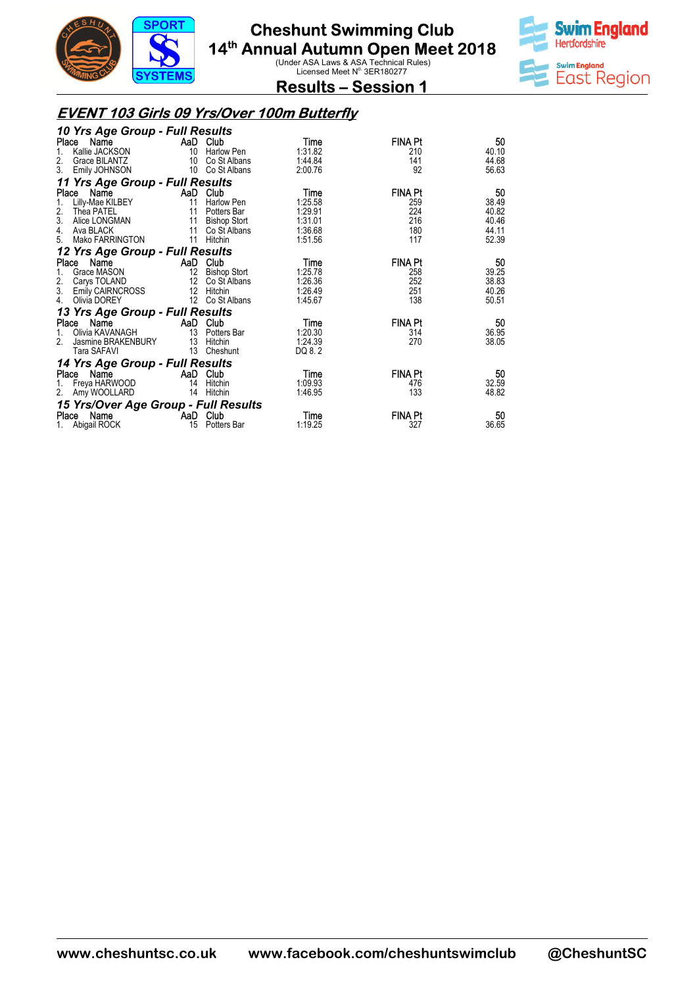



**Results – Session 1** 

#### **EVENT 103 Girls 09 Yrs/Over 100m Butterfly**

| 10 Yrs Age Group - Full Results      |          |                     |         |                |       |
|--------------------------------------|----------|---------------------|---------|----------------|-------|
| Name<br>Place                        |          | AaD Club            | Time    | <b>FINA Pt</b> | 50    |
| Kallie JACKSON                       | 10       | Harlow Pen          | 1:31.82 | 210            | 40.10 |
| 2.<br>Grace BILANTZ                  | 10       | Co St Albans        | 1:44.84 | 141            | 44.68 |
| 3.<br>Emily JOHNSON                  |          | 10 Co St Albans     | 2:00.76 | 92             | 56.63 |
| 11 Yrs Age Group - Full Results      |          |                     |         |                |       |
| Place<br>Name                        | AaD      | Club                | Time    | <b>FINA Pt</b> | 50    |
| Lilly-Mae KILBEY<br>1.               | 11       | Harlow Pen          | 1:25.58 | 259            | 38.49 |
| 2.<br>Thea PATEL                     | 11       | Potters Bar         | 1:29.91 | 224            | 40.82 |
| 3.<br>Alice LONGMAN                  | 11       | <b>Bishop Stort</b> | 1:31.01 | 216            | 40.46 |
| 4.<br>Ava BLACK                      | 11       | Co St Albans        | 1:36.68 | 180            | 44.11 |
| Mako FARRINGTON<br>5.                | 11       | Hitchin             | 1:51.56 | 117            | 52.39 |
| 12 Yrs Age Group - Full Results      |          |                     |         |                |       |
| Name<br>Place                        |          | AaD Club            | Time    | <b>FINA Pt</b> | 50    |
| Grace MASON<br>1.                    |          | 12 Bishop Stort     | 1:25.78 | 258            | 39.25 |
| Carys TOLAND                         |          | 12 Co St Albans     | 1:26.36 | 252            | 38.83 |
| $\frac{2}{3}$ .<br>Emily CAIRNCROSS  | 12       | Hitchin             | 1:26.49 | 251            | 40.26 |
| 4.<br>Olivia DOREY                   |          | 12 Co St Albans     | 1:45.67 | 138            | 50.51 |
| 13 Yrs Age Group - Full Results      |          |                     |         |                |       |
| Name<br>Place                        | AaD      | Club                | Time    | <b>FINA Pt</b> | 50    |
| Olivia KAVANAGH<br>1.                |          | 13 Potters Bar      | 1:20.30 | 314            | 36.95 |
| 2.<br>Jasmine BRAKENBURY             |          | 13 Hitchin          | 1:24.39 | 270            | 38.05 |
| Tara SAFAVI                          | 13       | Cheshunt            | DQ 8.2  |                |       |
| 14 Yrs Age Group - Full Results      |          |                     |         |                |       |
| Place Name                           | AaD Club |                     | Time    | <b>FINA Pt</b> | 50    |
| Freya HARWOOD                        | 14       | Hitchin             | 1:09.93 | 476            | 32.59 |
| 2.<br>Amy WOOLLARD                   | 14       | Hitchin             | 1:46.95 | 133            | 48.82 |
| 15 Yrs/Over Age Group - Full Results |          |                     |         |                |       |
| Name<br>Place                        | AaD Club |                     | Time    | <b>FINA Pt</b> | 50    |
| Abigail ROCK<br>1.                   |          | 15 Potters Bar      | 1:19.25 | 327            | 36.65 |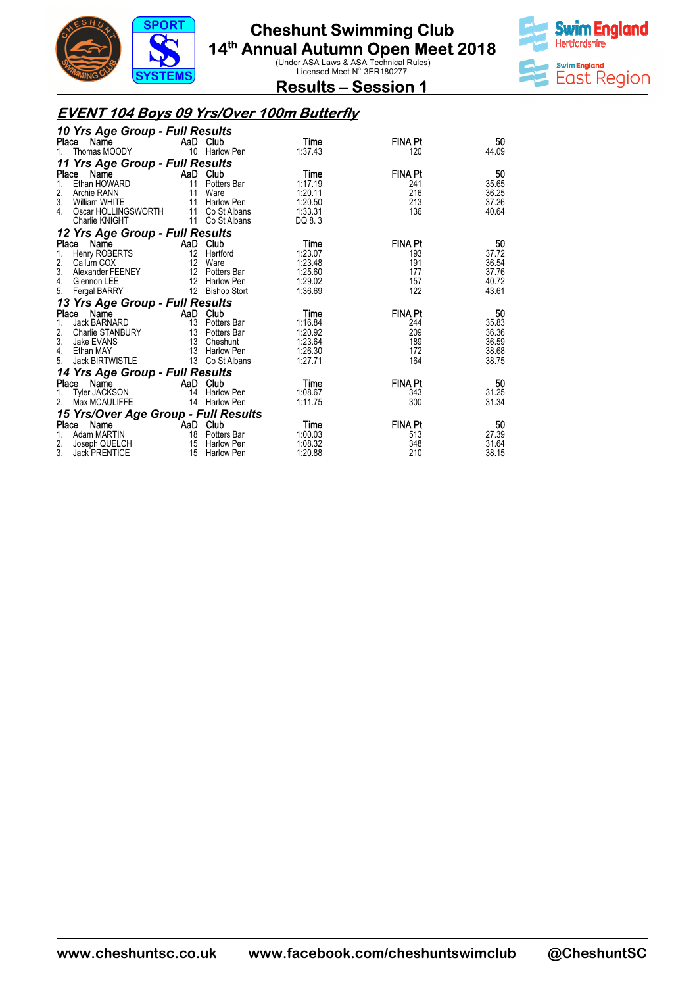



**Results – Session 1** 

### **EVENT 104 Boys 09 Yrs/Over 100m Butterfly**

| 10 Yrs Age Group - Full Results            |          |                   |         |                |       |
|--------------------------------------------|----------|-------------------|---------|----------------|-------|
| Name<br>Place                              | AaD Club |                   | Time    | FINA Pt        | 50    |
| 1.<br>Thomas MOODY                         |          | 10 Harlow Pen     | 1:37.43 | 120            | 44.09 |
| 11 Yrs Age Group - Full Results            |          |                   |         |                |       |
| Place<br>Name<br><b>Example 2</b> AaD Club |          |                   | Time    | <b>FINA Pt</b> | 50    |
| Ethan HOWARD                               | 11       | Potters Bar       | 1:17.19 | 241            | 35.65 |
| 2.<br>Archie RANN                          | 11       | Ware              | 1:20.11 | 216            | 36.25 |
| 3.<br>William WHITE                        | 11       | Harlow Pen        | 1:20.50 | 213            | 37.26 |
| Oscar HOLLINGSWORTH<br>4.                  | 11       | Co St Albans      | 1:33.31 | 136            | 40.64 |
| Charlie KNIGHT                             | 11       | Co St Albans      | DQ 8.3  |                |       |
| 12 Yrs Age Group - Full Results            |          |                   |         |                |       |
| Place<br>Name                              | AaD Club |                   | Time    | <b>FINA Pt</b> | 50    |
| Henry ROBERTS<br>1.                        | 12       | Hertford          | 1:23.07 | 193            | 37.72 |
| 2.<br>Callum COX                           | 12       | Ware              | 1:23.48 | 191            | 36.54 |
| 3.<br>Alexander FEENEY                     |          | 12 Potters Bar    | 1:25.60 | 177            | 37.76 |
| 4.<br>Glennon LEE                          |          | 12 Harlow Pen     | 1:29.02 | 157            | 40.72 |
| 5.<br><b>Fergal BARRY</b>                  |          | 12 Bishop Stort   | 1:36.69 | 122            | 43.61 |
| 13 Yrs Age Group - Full Results            |          |                   |         |                |       |
| Name<br>Place                              | AaD      | Club              | Time    | <b>FINA Pt</b> | 50    |
| <b>Jack BARNARD</b>                        |          | 13 Potters Bar    | 1:16.84 | 244            | 35.83 |
| 2.<br>Charlie STANBURY                     | 13       | Potters Bar       | 1:20.92 | 209            | 36.36 |
| 3.<br>Jake EVANS                           | 13       | Cheshunt          | 1:23.64 | 189            | 36.59 |
| 4.<br>Ethan MAY                            |          | 13 Harlow Pen     | 1:26.30 | 172            | 38.68 |
| <b>Jack BIRTWISTLE</b><br>5.               |          | 13 Co St Albans   | 1:27.71 | 164            | 38.75 |
| 14 Yrs Age Group - Full Results            |          |                   |         |                |       |
| Place<br>Name                              |          | AaD Club          | Time    | <b>FINA Pt</b> | 50    |
| Tyler JACKSON                              | 14       | Harlow Pen        | 1:08.67 | 343            | 31.25 |
| Max MCAULIFFE<br>2.                        | 14       | <b>Harlow Pen</b> | 1:11.75 | 300            | 31.34 |
| 15 Yrs/Over Age Group - Full Results       |          |                   |         |                |       |
| Name<br>Place                              | AaD Club |                   | Time    | <b>FINA Pt</b> | 50    |
| Adam MARTIN<br>1.                          |          | 18 Potters Bar    | 1:00.03 | 513            | 27.39 |
| Joseph QUELCH                              | 15       | Harlow Pen        | 1:08.32 | 348            | 31.64 |
| $\frac{2}{3}$<br><b>Jack PRENTICE</b>      |          | 15 Harlow Pen     | 1:20.88 | 210            | 38.15 |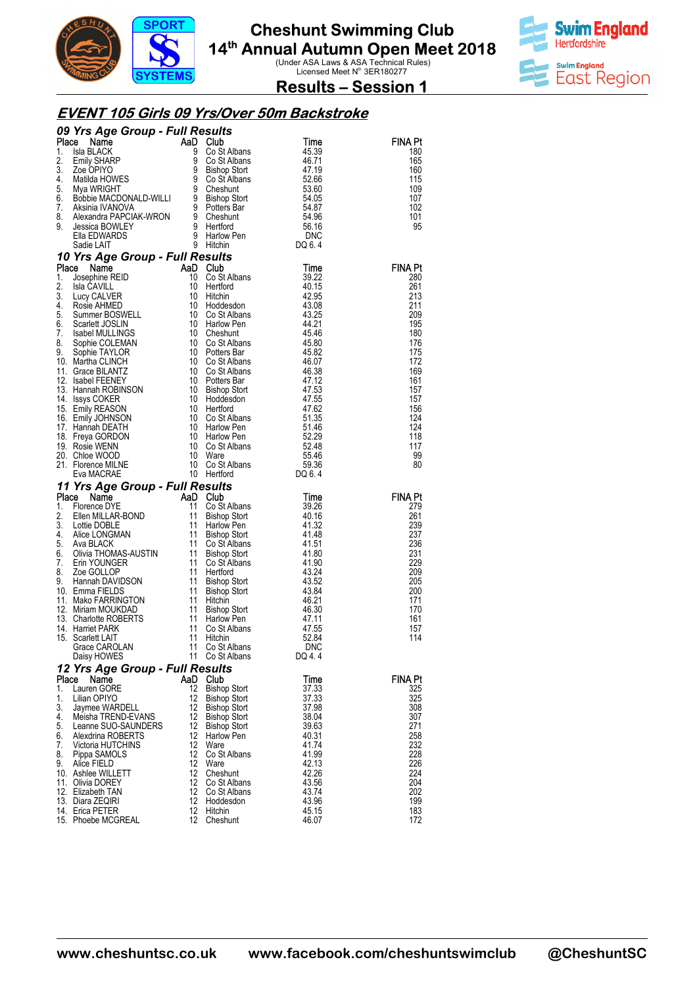



**Results – Session 1** 

#### **EVENT 105 Girls 09 Yrs/Over 50m Backstroke**

|          |                                                                                                                                                                                                                                                           |          |                                            |                | FINA Pt               |
|----------|-----------------------------------------------------------------------------------------------------------------------------------------------------------------------------------------------------------------------------------------------------------|----------|--------------------------------------------|----------------|-----------------------|
|          |                                                                                                                                                                                                                                                           |          |                                            |                | 180<br>165            |
|          |                                                                                                                                                                                                                                                           |          |                                            |                | 160                   |
|          |                                                                                                                                                                                                                                                           |          |                                            |                | 115                   |
|          |                                                                                                                                                                                                                                                           |          |                                            |                | 109                   |
|          |                                                                                                                                                                                                                                                           |          |                                            |                | 107                   |
|          |                                                                                                                                                                                                                                                           |          |                                            |                | 102                   |
|          |                                                                                                                                                                                                                                                           |          |                                            |                | 101<br>95             |
|          |                                                                                                                                                                                                                                                           |          |                                            |                |                       |
|          |                                                                                                                                                                                                                                                           |          |                                            |                |                       |
|          |                                                                                                                                                                                                                                                           |          |                                            |                |                       |
|          |                                                                                                                                                                                                                                                           |          |                                            |                | <b>FINA Pt</b>        |
|          |                                                                                                                                                                                                                                                           |          |                                            |                | 280                   |
|          |                                                                                                                                                                                                                                                           |          |                                            |                | 261<br>213            |
|          |                                                                                                                                                                                                                                                           |          |                                            |                | 211                   |
|          |                                                                                                                                                                                                                                                           |          |                                            |                | 209                   |
|          |                                                                                                                                                                                                                                                           |          |                                            |                | 195                   |
|          |                                                                                                                                                                                                                                                           |          |                                            |                | 180                   |
|          |                                                                                                                                                                                                                                                           |          |                                            |                | 176<br>175            |
|          |                                                                                                                                                                                                                                                           |          |                                            |                | 172                   |
|          |                                                                                                                                                                                                                                                           |          |                                            |                | 169                   |
|          |                                                                                                                                                                                                                                                           |          |                                            |                | 161                   |
|          |                                                                                                                                                                                                                                                           |          |                                            |                | 157                   |
|          |                                                                                                                                                                                                                                                           |          |                                            |                | 157                   |
|          |                                                                                                                                                                                                                                                           |          |                                            |                | 156<br>124            |
|          |                                                                                                                                                                                                                                                           |          |                                            |                | 124                   |
|          |                                                                                                                                                                                                                                                           |          |                                            |                | 118                   |
|          |                                                                                                                                                                                                                                                           |          |                                            |                | 117                   |
|          |                                                                                                                                                                                                                                                           |          |                                            |                | 99                    |
|          |                                                                                                                                                                                                                                                           |          |                                            |                | 80                    |
|          |                                                                                                                                                                                                                                                           |          |                                            |                |                       |
|          |                                                                                                                                                                                                                                                           |          |                                            |                |                       |
|          |                                                                                                                                                                                                                                                           |          |                                            |                |                       |
|          | <b>09 Yrs Age Group - Full Results</b><br>Place a Name Costalbans<br>1. Isla BLACK<br>2. Emily SHARP<br>4. Bused Costalbans<br>4. 29 Costalbans<br>4. 2010<br>6. Stalking HOWES<br>6. Bused MACONALD-WILLI<br>6. Maximid MANOVA<br>4. Matilda HOWES<br>6. |          |                                            |                | <b>FINA Pt</b><br>279 |
|          |                                                                                                                                                                                                                                                           |          |                                            |                | 261                   |
|          |                                                                                                                                                                                                                                                           |          |                                            |                | 239                   |
|          |                                                                                                                                                                                                                                                           |          |                                            |                | 237                   |
|          |                                                                                                                                                                                                                                                           |          |                                            |                | 236                   |
|          |                                                                                                                                                                                                                                                           |          |                                            |                | 231                   |
|          |                                                                                                                                                                                                                                                           |          |                                            |                | 229<br>209            |
|          |                                                                                                                                                                                                                                                           |          |                                            |                | 205                   |
|          |                                                                                                                                                                                                                                                           |          |                                            |                | 200                   |
|          |                                                                                                                                                                                                                                                           |          |                                            |                | 171                   |
|          |                                                                                                                                                                                                                                                           |          |                                            |                | 170                   |
|          |                                                                                                                                                                                                                                                           |          |                                            |                | 161<br>157            |
|          |                                                                                                                                                                                                                                                           |          |                                            |                | 114                   |
|          |                                                                                                                                                                                                                                                           |          |                                            |                |                       |
|          | Eva MACRAE 10 Hertford DQ 6.4<br>11 Yrs Age Group - Full Results<br>1. Florence DYE 1. OS Albans<br>1. Enerne MALAR-BOND 11 Go St Albans<br>3. Lottie DOBLE 11 Harlow Pen<br>4. Alice LONGMAN 11 Bishop Stort 41.32<br>4. Alice LONGMAN 11<br>Daisy HOWES |          | 11 Co St Albans                            | DQ 4.4         |                       |
|          | 12 Yrs Age Group - Full Results                                                                                                                                                                                                                           |          |                                            |                |                       |
| Place    | Name                                                                                                                                                                                                                                                      |          | AaD Club                                   | Time           | FINA Pt               |
| 1.<br>1. | Lauren GORE<br>Lilian OPIYO                                                                                                                                                                                                                               | 12<br>12 | <b>Bishop Stort</b>                        | 37.33          | 325<br>325            |
| 3.       | Jaymee WARDELL                                                                                                                                                                                                                                            | 12       | <b>Bishop Stort</b><br><b>Bishop Stort</b> | 37.33<br>37.98 | 308                   |
| 4.       | Meisha TREND-EVANS                                                                                                                                                                                                                                        | 12       | <b>Bishop Stort</b>                        | 38.04          | 307                   |
| 5.       | Leanne SUO-SAUNDERS                                                                                                                                                                                                                                       | 12       | <b>Bishop Stort</b>                        | 39.63          | 271                   |
| 6.       | Alexdrina ROBERTS                                                                                                                                                                                                                                         | 12       | Harlow Pen                                 | 40.31          | 258                   |
| 7.       | Victoria HUTCHINS                                                                                                                                                                                                                                         | 12<br>12 | Ware                                       | 41.74          | 232                   |
| 8.<br>9. | Pippa SAMOLS<br>Alice FIELD                                                                                                                                                                                                                               | 12       | Co St Albans<br>Ware                       | 41.99<br>42.13 | 228<br>226            |
|          | 10. Ashlee WILLETT                                                                                                                                                                                                                                        | 12       | Cheshunt                                   | 42.26          | 224                   |
|          | 11. Olivia DOREY                                                                                                                                                                                                                                          | 12       | Co St Albans                               | 43.56          | 204                   |
|          | 12. Elizabeth TAN                                                                                                                                                                                                                                         | 12       | Co St Albans                               | 43.74          | 202                   |
|          | 13. Diara ZEQIRI<br>14. Erica PETER                                                                                                                                                                                                                       | 12<br>12 | Hoddesdon<br>Hitchin                       | 43.96<br>45.15 | 199<br>183            |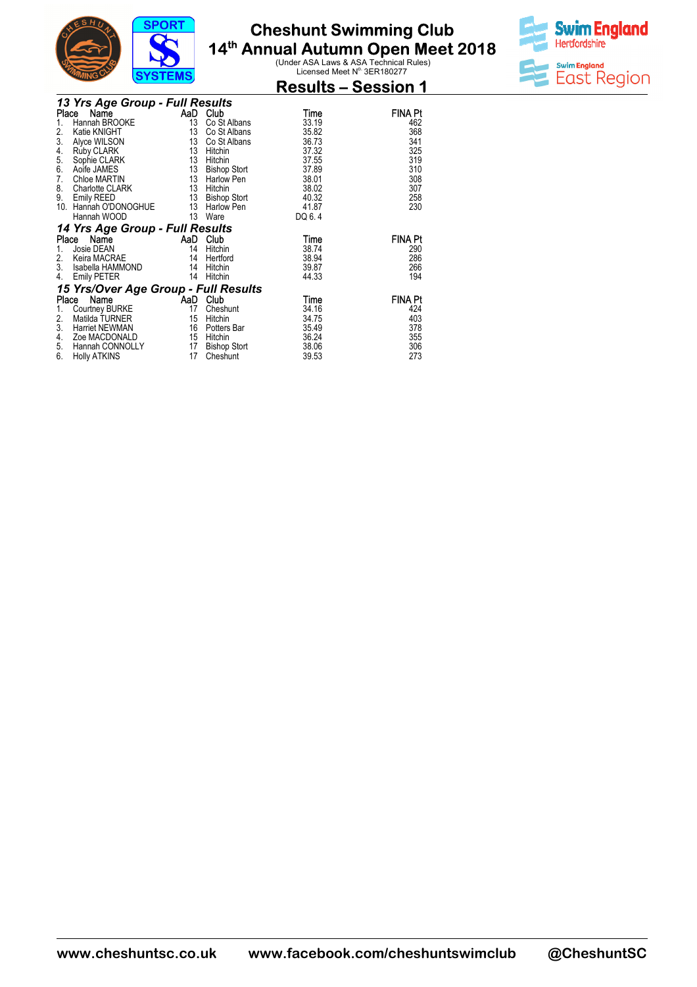

**Results – Session 1** 



|       | 13 Yrs Age Group - Full Results      |    |                     |        |                |
|-------|--------------------------------------|----|---------------------|--------|----------------|
| Place | Name                                 |    | AaD Club            | Time   | <b>FINA Pt</b> |
| 1.    | Hannah BROOKE                        | 13 | Co St Albans        | 33.19  | 462            |
| 2.    | Katie KNIGHT                         | 13 | Co St Albans        | 35.82  | 368            |
| 3.    | Alyce WILSON                         | 13 | Co St Albans        | 36.73  | 341            |
| 4.    | <b>Ruby CLARK</b>                    | 13 | Hitchin             | 37.32  | 325            |
| 5.    | Sophie CLARK                         | 13 | Hitchin             | 37.55  | 319            |
| 6.    | Aoife JAMES                          | 13 | <b>Bishop Stort</b> | 37.89  | 310            |
| 7.    | Chloe MARTIN                         | 13 | Harlow Pen          | 38.01  | 308            |
| 8.    | Charlotte CLARK                      | 13 | Hitchin             | 38.02  | 307            |
| 9.    | Emily REED                           | 13 | <b>Bishop Stort</b> | 40.32  | 258            |
| 10.   | Hannah O'DONOGHUE                    | 13 | Harlow Pen          | 41.87  | 230            |
|       | Hannah WOOD                          | 13 | Ware                | DQ 6.4 |                |
|       | 14 Yrs Age Group - Full Results      |    |                     |        |                |
| Place | Name                                 |    | AaD Club            | Time   | <b>FINA Pt</b> |
| 1.    | Josie DEAN                           | 14 | Hitchin             | 38.74  | 290            |
| 2.    | Keira MACRAE                         | 14 | Hertford            | 38.94  | 286            |
| 3.    | Isabella HAMMOND                     | 14 | Hitchin             | 39.87  | 266            |
| 4.    | <b>Emily PETER</b>                   | 14 | Hitchin             | 44.33  | 194            |
|       | 15 Yrs/Over Age Group - Full Results |    |                     |        |                |
| Place | Name                                 |    | AaD Club            | Time   | <b>FINA Pt</b> |
| 1.    | Courtney BURKE                       | 17 | Cheshunt            | 34.16  | 424            |
| 2.    | Matilda TURNER                       | 15 | Hitchin             | 34.75  | 403            |
| 3.    | Harriet NEWMAN                       | 16 | Potters Bar         | 35.49  | 378            |
| 4.    | Zoe MACDONALD                        | 15 | Hitchin             | 36.24  | 355            |
| 5.    | Hannah CONNOLLY                      | 17 | <b>Bishop Stort</b> | 38.06  | 306            |
| 6.    | <b>Holly ATKINS</b>                  | 17 | Cheshunt            | 39.53  | 273            |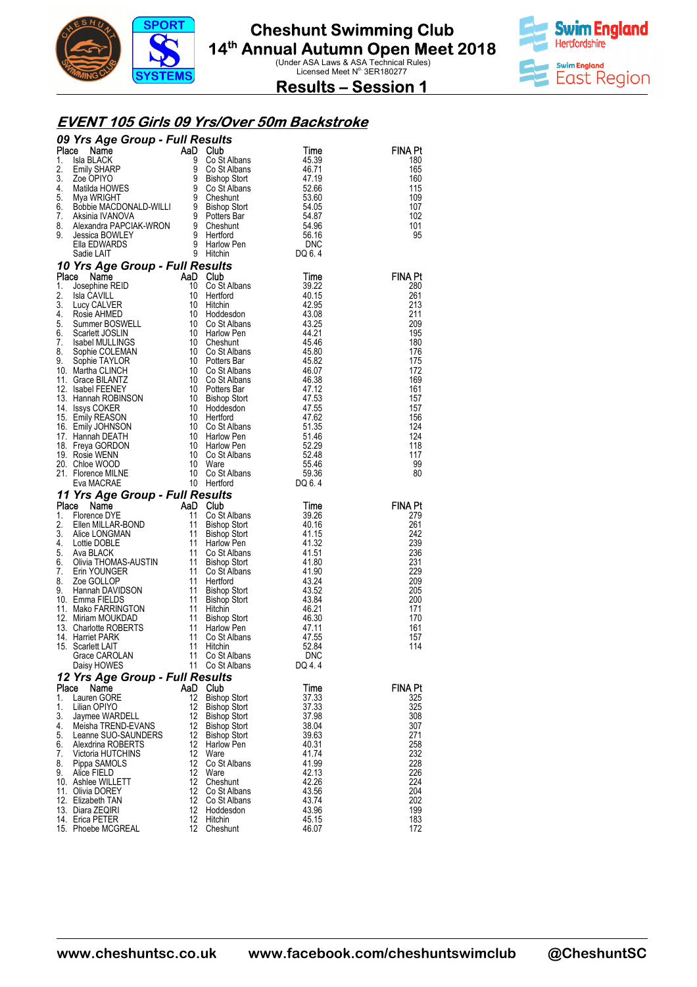



**Results – Session 1** 

#### **EVENT 105 Girls 09 Yrs/Over 50m Backstroke**

|          | <b>09 Yrs Age Group - Full Results<br/> Time<br/> 1. Isla BLACK 9 Cost Albans<br/> 2. Emily SHARP 9 Cost Albans<br/> 46.71<br/> 2. Cost Albans<br/> 46.71<br/> 2. Cost Albans<br/> 46.71<br/> 46.71<br/> 46.71<br/> 46.71<br/> 46.71<br/> 46.71<br/> 46.71<br/> 46.71<br/> 46.71<br/> 46.71<br/> 46.71<br/> </b> |          |                                            |                | <b>FINA Pt</b> |
|----------|------------------------------------------------------------------------------------------------------------------------------------------------------------------------------------------------------------------------------------------------------------------------------------------------------------------|----------|--------------------------------------------|----------------|----------------|
|          |                                                                                                                                                                                                                                                                                                                  |          |                                            |                | 180            |
|          |                                                                                                                                                                                                                                                                                                                  |          |                                            |                | 165<br>160     |
|          |                                                                                                                                                                                                                                                                                                                  |          |                                            |                | 115            |
|          |                                                                                                                                                                                                                                                                                                                  |          |                                            |                | 109            |
|          |                                                                                                                                                                                                                                                                                                                  |          |                                            |                | 107            |
|          |                                                                                                                                                                                                                                                                                                                  |          |                                            |                | 102            |
|          |                                                                                                                                                                                                                                                                                                                  |          |                                            |                | 101<br>95      |
|          |                                                                                                                                                                                                                                                                                                                  |          |                                            |                |                |
|          |                                                                                                                                                                                                                                                                                                                  |          |                                            |                |                |
|          |                                                                                                                                                                                                                                                                                                                  |          |                                            |                |                |
|          |                                                                                                                                                                                                                                                                                                                  |          |                                            |                | <b>FINA Pt</b> |
|          |                                                                                                                                                                                                                                                                                                                  |          |                                            |                | 280<br>261     |
|          |                                                                                                                                                                                                                                                                                                                  |          |                                            |                | 213            |
|          |                                                                                                                                                                                                                                                                                                                  |          |                                            |                | 211            |
|          |                                                                                                                                                                                                                                                                                                                  |          |                                            |                | 209            |
|          |                                                                                                                                                                                                                                                                                                                  |          |                                            |                | 195            |
|          |                                                                                                                                                                                                                                                                                                                  |          |                                            |                | 180<br>176     |
|          |                                                                                                                                                                                                                                                                                                                  |          |                                            |                | 175            |
|          |                                                                                                                                                                                                                                                                                                                  |          |                                            |                | 172            |
|          |                                                                                                                                                                                                                                                                                                                  |          |                                            |                | 169            |
|          |                                                                                                                                                                                                                                                                                                                  |          |                                            |                | 161            |
|          |                                                                                                                                                                                                                                                                                                                  |          |                                            |                | 157<br>157     |
|          |                                                                                                                                                                                                                                                                                                                  |          |                                            |                | 156            |
|          |                                                                                                                                                                                                                                                                                                                  |          |                                            |                | 124            |
|          |                                                                                                                                                                                                                                                                                                                  |          |                                            |                | 124            |
|          |                                                                                                                                                                                                                                                                                                                  |          |                                            |                | 118            |
|          |                                                                                                                                                                                                                                                                                                                  |          |                                            |                | 117<br>99      |
|          |                                                                                                                                                                                                                                                                                                                  |          |                                            |                | 80             |
|          |                                                                                                                                                                                                                                                                                                                  |          |                                            |                |                |
|          |                                                                                                                                                                                                                                                                                                                  |          |                                            |                |                |
|          |                                                                                                                                                                                                                                                                                                                  |          |                                            |                |                |
|          | Calculation of the Capital Capital Capital Capital Capital Capital Capital Capital Capital Capital Capital Capital Capital Capital Capital Capital Capital Capital Capital Capital Capital Capital Capital Capital Capital Cap                                                                                   |          |                                            |                | <b>FINA Pt</b> |
|          |                                                                                                                                                                                                                                                                                                                  |          |                                            |                | 279            |
|          |                                                                                                                                                                                                                                                                                                                  |          |                                            |                | 261            |
|          |                                                                                                                                                                                                                                                                                                                  |          |                                            |                | 242<br>239     |
|          |                                                                                                                                                                                                                                                                                                                  |          |                                            |                | 236            |
|          |                                                                                                                                                                                                                                                                                                                  |          |                                            |                | 231            |
|          |                                                                                                                                                                                                                                                                                                                  |          |                                            |                | 229            |
|          |                                                                                                                                                                                                                                                                                                                  |          |                                            |                | 209            |
|          |                                                                                                                                                                                                                                                                                                                  |          |                                            |                | 205<br>200     |
|          |                                                                                                                                                                                                                                                                                                                  |          |                                            |                | 171            |
|          |                                                                                                                                                                                                                                                                                                                  |          |                                            |                | 170            |
|          |                                                                                                                                                                                                                                                                                                                  |          |                                            |                | 161            |
|          |                                                                                                                                                                                                                                                                                                                  |          |                                            |                | 157<br>114     |
|          |                                                                                                                                                                                                                                                                                                                  |          |                                            |                |                |
|          | Daisy HOWES                                                                                                                                                                                                                                                                                                      | 11       | Co St Albans                               | DQ 4.4         |                |
|          | Eva MACRAE 10 Heritord DQ 6.4<br>11 Yrs Age Group - Full Results<br>11 Yrs Age Group - Full Results<br>11 Co St Albans 39.26<br>11 Co St Albans 39.26<br>2. Ellen MILLAR-BOND 11 Bishop Stort 41.15<br>3. Alice LONGMAN 11 Bishop Stort 41<br>12 Yrs Age Group - Full Results                                    |          |                                            |                |                |
| Place    | Name                                                                                                                                                                                                                                                                                                             | AaD      | Club                                       | Time           | FINA Pt        |
| 1.       | Lauren GORE                                                                                                                                                                                                                                                                                                      | 12       | <b>Bishop Stort</b>                        | 37.33          | 325            |
| 1.<br>3. | Lilian OPIYO<br>Jaymee WARDELL                                                                                                                                                                                                                                                                                   | 12<br>12 | <b>Bishop Stort</b><br><b>Bishop Stort</b> | 37.33<br>37.98 | 325<br>308     |
| 4.       | Meisha TREND-EVANS                                                                                                                                                                                                                                                                                               | 12       | <b>Bishop Stort</b>                        | 38.04          | 307            |
| 5.       | Leanne SUO-SAUNDERS                                                                                                                                                                                                                                                                                              | 12       | <b>Bishop Stort</b>                        | 39.63          | 271            |
| 6.       | Alexdrina ROBERTS                                                                                                                                                                                                                                                                                                | 12       | <b>Harlow Pen</b>                          | 40.31          | 258            |
| 7.       | Victoria HUTCHINS                                                                                                                                                                                                                                                                                                | 12       | Ware                                       | 41.74          | 232            |
| 8.<br>9. | Pippa SAMOLS<br>Alice FIELD                                                                                                                                                                                                                                                                                      | 12<br>12 | Co St Albans<br>Ware                       | 41.99<br>42.13 | 228<br>226     |
|          | 10.   Ashlee WILLETT                                                                                                                                                                                                                                                                                             | 12       | Cheshunt                                   | 42.26          | 224            |
|          | 11. Olivia DOREY                                                                                                                                                                                                                                                                                                 | 12       | Co St Albans                               | 43.56          | 204            |
|          | 12. Elizabeth TAN                                                                                                                                                                                                                                                                                                | 12       | Co St Albans                               | 43.74          | 202            |
|          | 13. Diara ZEQIRI<br>14. Erica PETER                                                                                                                                                                                                                                                                              | 12<br>12 | Hoddesdon<br>Hitchin                       | 43.96<br>45.15 | 199<br>183     |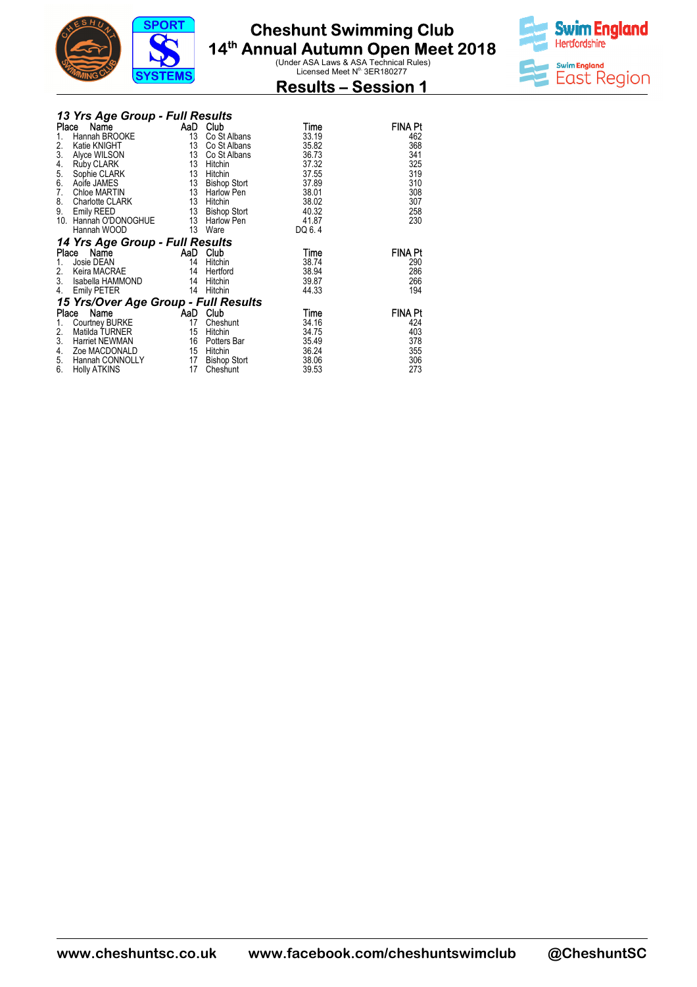



### **Results – Session 1**

|               | 13 Yrs Age Group - Full Results      |          |                               |        |                |
|---------------|--------------------------------------|----------|-------------------------------|--------|----------------|
| Place         | Name                                 |          | AaD Club                      | Time   | FINA Pt        |
| 1.            | Hannah BROOKE                        | 13       | Co St Albans                  | 33.19  | 462            |
| 2.            | Katie KNIGHT                         |          | 13 Co St Albans               | 35.82  | 368            |
| 3.            | Alyce WILSON                         |          | 13 Co St Albans               | 36.73  | 341            |
| 4.            | Ruby CLARK                           | 13       | Hitchin                       | 37.32  | 325            |
| $\frac{5}{6}$ | Sophie CLARK                         |          | 13 Hitchin                    | 37.55  | 319            |
|               | Aoife JAMES                          |          | 13 Bishop Stort               | 37.89  | 310            |
| 7.            | Chloe MARTIN                         |          | 13 Harlow Pen                 | 38.01  | 308            |
| 8.            | Charlotte CLARK                      |          |                               | 38.02  | 307            |
| 9.            | Emily REED                           |          | 13 Hitchin<br>13 Bishop Stort | 40.32  | 258            |
|               | 10. Hannah O'DONOGHUE 13 Harlow Pen  |          |                               | 41.87  | 230            |
|               | Hannah WOOD                          | 13       | Ware                          | DQ 6.4 |                |
|               | 14 Yrs Age Group - Full Results      |          |                               |        |                |
|               | Place Name                           | AaD Club |                               | Time   | <b>FINA Pt</b> |
| 1.            | Josie DEAN                           | 14       | Hitchin                       | 38.74  | 290            |
| 2.            | Keira MACRAE                         | 14       | Hertford                      | 38.94  | 286            |
| 3.            | Isabella HAMMOND                     |          | 14 Hitchin                    | 39.87  | 266            |
| 4.            | <b>Emily PETER</b>                   | 14       | Hitchin                       | 44.33  | 194            |
|               | 15 Yrs/Over Age Group - Full Results |          |                               |        |                |
|               | Name<br>Place                        |          | AaD Club                      | Time   | <b>FINA Pt</b> |
| 1.            | Courtney BURKE                       | 17       | Cheshunt                      | 34.16  | 424            |
| 2.            | Matilda TURNER                       | 15       | Hitchin                       | 34.75  | 403            |
| 3.            | Harriet NEWMAN                       |          | 16 Potters Bar                | 35.49  | 378            |
| 4.            | Zoe MACDONALD                        |          | 15 Hitchin                    | 36.24  | 355            |
| 5.            | Hannah CONNOLLY                      | 17       | Bishop Stort                  | 38.06  | 306            |
| 6.            | <b>Holly ATKINS</b>                  | 17       | Cheshunt                      | 39.53  | 273            |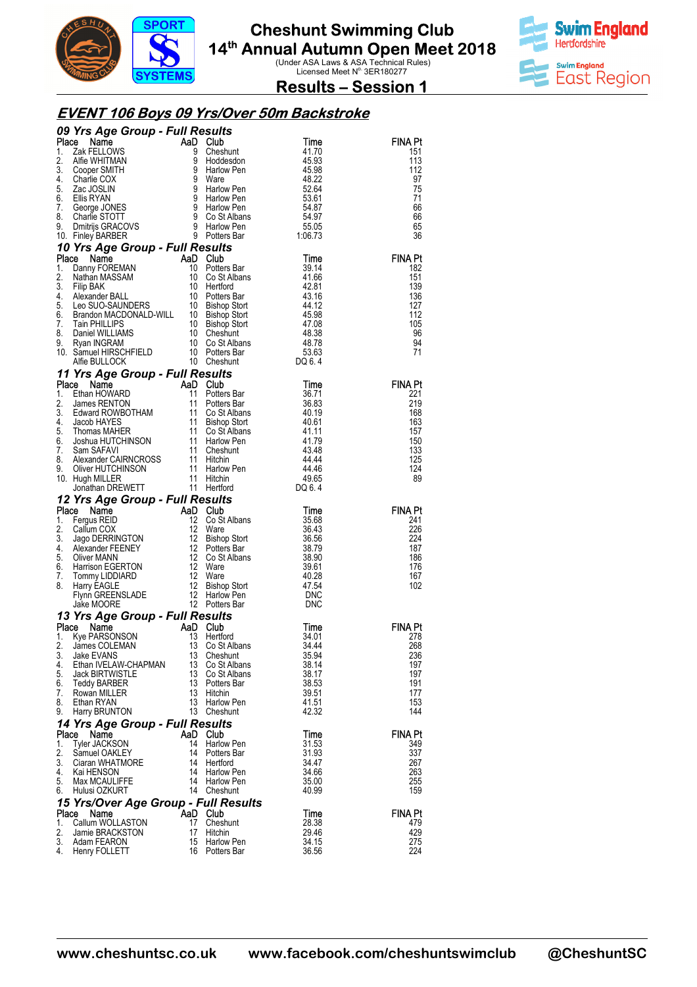



**Results – Session 1** 

#### **EVENT 106 Boys 09 Yrs/Over 50m Backstroke**

|             | 09 Yrs Age Group - Full Results                                                                                                                                                                                                                                                                     |    |                                                                                                                                                                                                                                                                                         |                                                                     |                       |
|-------------|-----------------------------------------------------------------------------------------------------------------------------------------------------------------------------------------------------------------------------------------------------------------------------------------------------|----|-----------------------------------------------------------------------------------------------------------------------------------------------------------------------------------------------------------------------------------------------------------------------------------------|---------------------------------------------------------------------|-----------------------|
| Place       | Triangle Croup - Full Results<br>2 Name Name California Control of Scheen and California<br>2 Name Control of Scheen and Control of Scheen and Scheen Control of Scheen California<br>2 Name Control of Scheen and Scheen Control of                                                                |    | <b>Club</b><br>Cheshunt                                                                                                                                                                                                                                                                 | Time                                                                | <b>FINA Pt</b>        |
| 1.<br>2.    |                                                                                                                                                                                                                                                                                                     |    |                                                                                                                                                                                                                                                                                         | 41.70                                                               | 151<br>113            |
| 3.          |                                                                                                                                                                                                                                                                                                     |    |                                                                                                                                                                                                                                                                                         |                                                                     | 112                   |
| 4.          |                                                                                                                                                                                                                                                                                                     |    |                                                                                                                                                                                                                                                                                         |                                                                     | 97                    |
| 5.          |                                                                                                                                                                                                                                                                                                     |    | Hano<br>Ware<br>Harlow Pen<br>' <u>briow Pen</u>                                                                                                                                                                                                                                        | $45.93$<br>$45.98$<br>$48.22$<br>$52.64$                            | 75                    |
| 6.          |                                                                                                                                                                                                                                                                                                     |    |                                                                                                                                                                                                                                                                                         | $53.61$<br>54.87<br>54.97<br>55.05                                  | 71                    |
| 7.          |                                                                                                                                                                                                                                                                                                     |    |                                                                                                                                                                                                                                                                                         |                                                                     | 66                    |
| 8.<br>9.    |                                                                                                                                                                                                                                                                                                     |    |                                                                                                                                                                                                                                                                                         |                                                                     | 66<br>65              |
|             | 10. Finley BARBER                                                                                                                                                                                                                                                                                   |    |                                                                                                                                                                                                                                                                                         | 1:06.73                                                             | 36                    |
|             | To Finey BARBER<br><b>10 Yrs Age Group - Full Results</b><br><b>10 Yrs Age Group - Full Results</b><br>1. Danny FOREMAN<br>10 Potters Bar<br>2. Nathan MASSAM<br>3. Filip BAK<br>4. Alexander BALL<br>4. Alexander BALL<br>5. Leo SUO-SAUNDERS<br>6. Brandon                                        |    |                                                                                                                                                                                                                                                                                         |                                                                     |                       |
|             |                                                                                                                                                                                                                                                                                                     |    |                                                                                                                                                                                                                                                                                         |                                                                     | <b>FINA Pt</b>        |
|             |                                                                                                                                                                                                                                                                                                     |    |                                                                                                                                                                                                                                                                                         |                                                                     | 182                   |
|             |                                                                                                                                                                                                                                                                                                     |    |                                                                                                                                                                                                                                                                                         |                                                                     | 151                   |
|             |                                                                                                                                                                                                                                                                                                     |    |                                                                                                                                                                                                                                                                                         |                                                                     | 139                   |
|             |                                                                                                                                                                                                                                                                                                     |    |                                                                                                                                                                                                                                                                                         |                                                                     | 136                   |
|             |                                                                                                                                                                                                                                                                                                     |    |                                                                                                                                                                                                                                                                                         |                                                                     | 127<br>112            |
|             |                                                                                                                                                                                                                                                                                                     |    |                                                                                                                                                                                                                                                                                         |                                                                     | 105                   |
|             |                                                                                                                                                                                                                                                                                                     |    |                                                                                                                                                                                                                                                                                         |                                                                     | 96                    |
|             |                                                                                                                                                                                                                                                                                                     |    |                                                                                                                                                                                                                                                                                         |                                                                     | 94                    |
|             |                                                                                                                                                                                                                                                                                                     |    |                                                                                                                                                                                                                                                                                         |                                                                     | 71                    |
|             |                                                                                                                                                                                                                                                                                                     |    |                                                                                                                                                                                                                                                                                         |                                                                     |                       |
|             | 11 Yrs Age Group - Full Results                                                                                                                                                                                                                                                                     |    |                                                                                                                                                                                                                                                                                         |                                                                     |                       |
| Place       | <b>Primary And Cube State of Mannum Care (New York 11 Potters Bar Edward RCWBOTHAM</b><br>Ethan HOWARD 11 Potters Bar<br>Edward ROWBOTHAM 11 Co St Albans<br>Jacob HAYES 11 Bishop Stort<br>Thomas MAHER 11 Co St Albans<br>Jacob HAYES 11 Hi                                                       |    |                                                                                                                                                                                                                                                                                         | Time<br>36.71<br>36.83<br>40.19<br>40.61<br>41.17<br>43.48<br>43.44 | <b>FINA Pt</b>        |
| 1.<br>2.    |                                                                                                                                                                                                                                                                                                     |    |                                                                                                                                                                                                                                                                                         |                                                                     | 221<br>219            |
| 3.          |                                                                                                                                                                                                                                                                                                     |    |                                                                                                                                                                                                                                                                                         |                                                                     | 168                   |
| 4.          |                                                                                                                                                                                                                                                                                                     |    |                                                                                                                                                                                                                                                                                         |                                                                     | 163                   |
| 5.          |                                                                                                                                                                                                                                                                                                     |    |                                                                                                                                                                                                                                                                                         |                                                                     | 157                   |
| 6.          |                                                                                                                                                                                                                                                                                                     |    |                                                                                                                                                                                                                                                                                         |                                                                     | 150                   |
| 7.          |                                                                                                                                                                                                                                                                                                     |    |                                                                                                                                                                                                                                                                                         |                                                                     | 133                   |
| 8.<br>9.    |                                                                                                                                                                                                                                                                                                     |    |                                                                                                                                                                                                                                                                                         | 44.44<br>44.46                                                      | 125<br>124            |
|             | 10. Hugh MILLER                                                                                                                                                                                                                                                                                     |    |                                                                                                                                                                                                                                                                                         | 49.65                                                               | 89                    |
|             |                                                                                                                                                                                                                                                                                                     |    |                                                                                                                                                                                                                                                                                         |                                                                     |                       |
|             |                                                                                                                                                                                                                                                                                                     |    |                                                                                                                                                                                                                                                                                         | DQ 6.4                                                              |                       |
|             |                                                                                                                                                                                                                                                                                                     |    |                                                                                                                                                                                                                                                                                         |                                                                     |                       |
| Place       | 12 Yrs Age Group - Full Results                                                                                                                                                                                                                                                                     |    |                                                                                                                                                                                                                                                                                         |                                                                     | <b>FINA Pt</b>        |
| 1.          |                                                                                                                                                                                                                                                                                                     |    |                                                                                                                                                                                                                                                                                         |                                                                     | 241                   |
| 2.          |                                                                                                                                                                                                                                                                                                     |    |                                                                                                                                                                                                                                                                                         |                                                                     | 226                   |
| 3.          |                                                                                                                                                                                                                                                                                                     |    |                                                                                                                                                                                                                                                                                         |                                                                     | 224                   |
| 4.          |                                                                                                                                                                                                                                                                                                     |    |                                                                                                                                                                                                                                                                                         |                                                                     | 187                   |
| 5.<br>6.    |                                                                                                                                                                                                                                                                                                     |    |                                                                                                                                                                                                                                                                                         |                                                                     | 186<br>176            |
| 7.          |                                                                                                                                                                                                                                                                                                     |    | <b>SUITS<br/> Co St Albans</b><br>Co St Albans<br>Ware<br>Bishop Stort<br>Potters Bar<br>Potters Bar<br>Co St Albans<br>Ware<br>Marchar<br>20.03<br>20.03<br>20.03<br>20.03<br>20.03<br>20.03<br>20.03<br>20.03<br>20.03<br>20.03<br>20.03<br>20.03<br>20.03<br>20.03<br>20.03<br>20.03 | 40.28                                                               | 167                   |
| 8.          |                                                                                                                                                                                                                                                                                                     |    |                                                                                                                                                                                                                                                                                         |                                                                     | 102                   |
|             |                                                                                                                                                                                                                                                                                                     |    |                                                                                                                                                                                                                                                                                         | 47.54<br>DNC                                                        |                       |
|             |                                                                                                                                                                                                                                                                                                     |    |                                                                                                                                                                                                                                                                                         | DNC                                                                 |                       |
|             | <b>Yrs Age Group - Full Results<br/> ce Name AaD Club<br/> Fergus REID 12 Co St Albans<br/> Callum COX 12 Ware<br/> Jago DERRINGTON 12 Bishop Stort<br/> Alexander FEENEY 12 Potters Bar<br/> Narrison EGERTON 12 Co St Albans<br/> Harrison EGERTON 12 Ware</b><br>13 Yrs Age Group - Full Results |    |                                                                                                                                                                                                                                                                                         |                                                                     |                       |
| Place       | Name                                                                                                                                                                                                                                                                                                |    |                                                                                                                                                                                                                                                                                         | Time                                                                | <b>FINA Pt</b>        |
| 1.          | Kye PARSONSON                                                                                                                                                                                                                                                                                       |    | Hertford                                                                                                                                                                                                                                                                                | 34.01                                                               | 278                   |
| 2.<br>3.    | AaD Club<br>13 Hertfd<br>13 Co St<br>James COLEMAN<br>Jake EVANS                                                                                                                                                                                                                                    | 13 | Co St Albans<br>Cheshunt                                                                                                                                                                                                                                                                | 34.44<br>35.94                                                      | 268<br>236            |
| 4.          | Ethan IVELAW-CHAPMAN                                                                                                                                                                                                                                                                                | 13 | Co St Albans                                                                                                                                                                                                                                                                            | 38.14                                                               | 197                   |
| 5.          | <b>Jack BIRTWISTLE</b>                                                                                                                                                                                                                                                                              | 13 | Co St Albans                                                                                                                                                                                                                                                                            | 38.17                                                               | 197                   |
| 6.          | Teddy BARBER                                                                                                                                                                                                                                                                                        | 13 | Potters Bar                                                                                                                                                                                                                                                                             | 38.53                                                               | 191                   |
| 7.          | Rowan MILLER                                                                                                                                                                                                                                                                                        | 13 | Hitchin                                                                                                                                                                                                                                                                                 | 39.51                                                               | 177                   |
| 8.          | Ethan RYAN                                                                                                                                                                                                                                                                                          | 13 | <b>Harlow Pen</b>                                                                                                                                                                                                                                                                       | 41.51<br>42.32                                                      | 153                   |
| 9.          | Harry BRUNTON                                                                                                                                                                                                                                                                                       |    | 13 Cheshunt                                                                                                                                                                                                                                                                             |                                                                     | 144                   |
|             | 14 Yrs Age Group - Full Results                                                                                                                                                                                                                                                                     |    |                                                                                                                                                                                                                                                                                         |                                                                     |                       |
| Place<br>1. | Name<br><b>Tyler JACKSON</b>                                                                                                                                                                                                                                                                        | 14 | AaD Club<br>Harlow Pen                                                                                                                                                                                                                                                                  | Time<br>31.53                                                       | <b>FINA Pt</b><br>349 |
| 2.          | Samuel OAKLEY                                                                                                                                                                                                                                                                                       | 14 | Potters Bar                                                                                                                                                                                                                                                                             | 31.93                                                               | 337                   |
| 3.          | Ciaran WHATMORE                                                                                                                                                                                                                                                                                     | 14 | Hertford                                                                                                                                                                                                                                                                                | 34.47                                                               | 267                   |
| 4.          | Kai HENSON                                                                                                                                                                                                                                                                                          | 14 | Harlow Pen                                                                                                                                                                                                                                                                              | 34.66                                                               | 263                   |
| 5.          | Max MCAULIFFE                                                                                                                                                                                                                                                                                       |    | 14 Harlow Pen                                                                                                                                                                                                                                                                           | 35.00                                                               | 255                   |
| 6.          | Hulusi OZKURT                                                                                                                                                                                                                                                                                       |    | 14 Cheshunt                                                                                                                                                                                                                                                                             | 40.99                                                               | 159                   |
|             | 15 Yrs/Over Age Group - Full Results                                                                                                                                                                                                                                                                |    |                                                                                                                                                                                                                                                                                         |                                                                     |                       |
| Place<br>1. | Name                                                                                                                                                                                                                                                                                                | 17 | AaD Club                                                                                                                                                                                                                                                                                | Time                                                                | <b>FINA Pt</b>        |
| 2.          | Callum WOLLASTON<br>Jamie BRACKSTON                                                                                                                                                                                                                                                                 | 17 | Cheshunt<br>Hitchin                                                                                                                                                                                                                                                                     | 28.38<br>29.46                                                      | 479<br>429            |
| 3.<br>4.    | Adam FEARON<br>Henry FOLLETT                                                                                                                                                                                                                                                                        | 15 | Harlow Pen<br>16 Potters Bar                                                                                                                                                                                                                                                            | 34.15<br>36.56                                                      | 275<br>224            |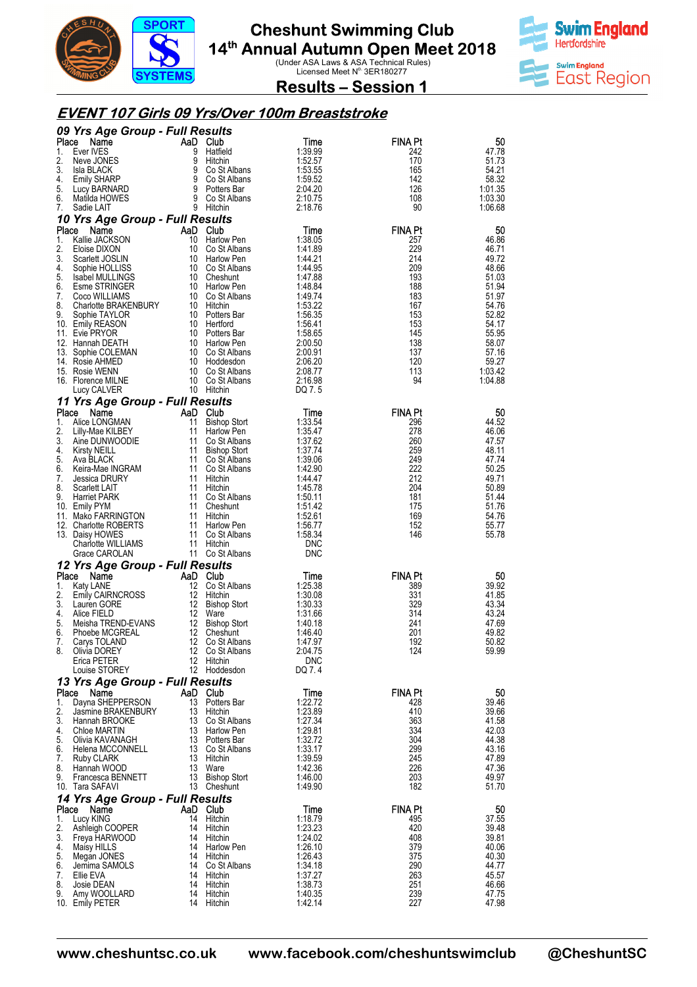



**Results – Session 1** 

#### **EVENT 107 Girls 09 Yrs/Over 100m Breaststroke Breaststroke**

|             | 09 Yrs Age Group - Full Results         |          |                                   |                    |                       |                |
|-------------|-----------------------------------------|----------|-----------------------------------|--------------------|-----------------------|----------------|
| Place       | Name                                    |          | AaD Club                          | Time               | <b>FINA Pt</b>        | 50             |
| 1.<br>2.    | Ever IVES<br>Neve JONES                 | 9<br>9   | Hatfield<br>Hitchin               | 1:39.99<br>1:52.57 | 242<br>170            | 47.78<br>51.73 |
| 3.          | Isla BLACK                              | 9        | Co St Albans                      | 1:53.55            | 165                   | 54.21          |
| 4.          | <b>Emily SHARP</b>                      | 9        | Co St Albans                      | 1:59.52            | 142                   | 58.32          |
| 5.          | Lucy BARNARD                            | 9        | Potters Bar                       | 2:04.20            | 126                   | 1:01.35        |
| 6.          | Matilda HOWES                           | 9        | Co St Albans                      | 2:10.75            | 108                   | 1:03.30        |
| 7.          | Sadie LAIT                              |          | 9 Hitchin                         | 2:18.76            | 90                    | 1:06.68        |
|             | 10 Yrs Age Group - Full Results         |          |                                   |                    |                       |                |
| Place<br>1. | Name<br>Kallie JACKSON                  | 10       | AaD Club<br>Harlow Pen            | Time<br>1:38.05    | <b>FINA Pt</b><br>257 | 50<br>46.86    |
| 2.          | Eloise DIXON                            | 10       | Co St Albans                      | 1:41.89            | 229                   | 46.71          |
| 3.          | Scarlett JOSLIN                         | 10       | Harlow Pen                        | 1:44.21            | 214                   | 49.72          |
| 4.          | Sophie HOLLISS                          | 10       | Co St Albans                      | 1:44.95            | 209                   | 48.66          |
| 5.          | <b>Isabel MULLINGS</b>                  |          | 10 Cheshunt                       | 1:47.88            | 193                   | 51.03          |
| 6.<br>7.    | Esme STRINGER<br>Coco WILLIAMS          | 10<br>10 | Harlow Pen<br>Co St Albans        | 1.48.84<br>1:49.74 | 188<br>183            | 51.94<br>51.97 |
| 8.          | <b>Charlotte BRAKENBURY</b>             |          | 10 Hitchin                        | 1:53.22            | 167                   | 54.76          |
| 9.          | Sophie TAYLOR                           |          | 10 Potters Bar                    | 1:56.35            | 153                   | 52.82          |
|             | 10. Emily REASON                        | 10       | Hertford                          | 1:56.41            | 153                   | 54.17          |
|             | 11. Evie PRYOR                          |          | 10 Potters Bar                    | 1:58.65            | 145                   | 55.95          |
| 13.         | 12. Hannah DEATH<br>Sophie COLEMAN      | 10       | 10 Harlow Pen<br>Co St Albans     | 2:00.50<br>2:00.91 | 138<br>137            | 58.07<br>57.16 |
|             | 14. Rosie AHMED                         | 10       | Hoddesdon                         | 2:06.20            | 120                   | 59.27          |
|             | 15. Rosie WENN                          | 10       | Co St Albans                      | 2:08.77            | 113                   | 1:03.42        |
|             | 16. Florence MILNE                      | 10       | Co St Albans                      | 2:16.98            | 94                    | 1:04.88        |
|             | Lucy CALVER                             |          | 10 Hitchin                        | DQ 7.5             |                       |                |
| Place       | 11 Yrs Age Group - Full Results<br>Name | AaD      | <b>Club</b>                       |                    | <b>FINA Pt</b>        | 50             |
| 1.          | Alice LONGMAN                           | 11       | <b>Bishop Stort</b>               | Time<br>1:33.54    | 296                   | 44.52          |
| 2.          | Lilly-Mae KILBEY                        | 11       | Harlow Pen                        | 1:35.47            | 278                   | 46.06          |
| 3.          | Aine DUNWOODIE                          | 11       | Co St Albans                      | 1:37.62            | 260                   | 47.57          |
| 4.          | <b>Kirsty NEILL</b>                     | 11       | <b>Bishop Stort</b>               | 1:37.74            | 259                   | 48.11          |
| 5.<br>6.    | Ava BLACK<br>Keira-Mae INGRAM           | 11<br>11 | Co St Albans<br>Co St Albans      | 1:39.06<br>1:42.90 | 249<br>222            | 47.74<br>50.25 |
| 7.          | <b>Jessica DRURY</b>                    | 11       | Hitchin                           | 1:44.47            | 212                   | 49.71          |
| 8.          | Scarlett LAIT                           | 11       | Hitchin                           | 1:45.78            | 204                   | 50.89          |
| 9.          | <b>Harriet PARK</b>                     | 11       | Co St Albans                      | 1:50.11            | 181                   | 51.44          |
|             | 10. Emily PYM<br>11. Mako FARRINGTON    | 11<br>11 | Cheshunt<br>Hitchin               | 1:51.42<br>1:52.61 | 175<br>169            | 51.76<br>54.76 |
|             | 12. Charlotte ROBERTS                   | 11       | Harlow Pen                        | 1:56.77            | 152                   | 55.77          |
|             | 13. Daisy HOWES                         | 11       | Co St Albans                      | 1:58.34            | 146                   | 55.78          |
|             | Charlotte WILLIAMS                      | 11       | Hitchin                           | <b>DNC</b>         |                       |                |
|             | Grace CAROLAN                           |          | 11 Co St Albans                   | <b>DNC</b>         |                       |                |
| Place       | 12 Yrs Age Group - Full Results<br>Name | AaD      | <b>Club</b>                       |                    | <b>FINA Pt</b>        | 50             |
| 1.          | Katy LANE                               | 12       | Co St Albans                      | Time<br>1:25.38    | 389                   | 39.92          |
| 2.          | <b>Emily CAIRNCROSS</b>                 | 12       | Hitchin                           | 1:30.08            | 331                   | 41.85          |
| 3.          | Lauren GORE                             | 12       | <b>Bishop Stort</b>               | 1:30.33            | 329                   | 43.34          |
| 4.<br>5.    | Alice FIELD                             | 12<br>12 | Ware                              | 1:31.66            | 314                   | 43.24          |
| 6.          | Meisha TREND-EVANS<br>Phoebe MCGREAL    |          | <b>Bishop Stort</b><br>Cheshunt   | 1:40.18            |                       |                |
| 7.          |                                         |          |                                   |                    | 241                   | 47.69          |
|             | Carys TOLAND                            | 12<br>12 | Co St Albans                      | 1:46.40<br>1.47.97 | 201<br>192            | 49.82<br>50.82 |
| 8.          | Olivia DOREY                            |          | 12 Co St Albans                   | 2:04.75            | 124                   | 59.99          |
|             | Erica PETER                             |          | 12 Hitchin                        | <b>DNC</b>         |                       |                |
|             | Louise STOREY                           |          | 12 Hoddesdon                      | DQ 7.4             |                       |                |
|             | 13 Yrs Age Group - Full Results         |          |                                   |                    |                       |                |
| Place<br>1. | Name<br>Dayna SHEPPERSON                |          | AaD Club<br>13 Potters Bar        | Time<br>1:22.72    | FINA Pt<br>428        | 50<br>39.46    |
| 2.          | Jasmine BRAKENBURY                      |          | 13 Hitchin                        | 1:23.89            | 410                   | 39.66          |
| 3.          | Hannah BROOKE                           |          | 13 Co St Albans                   | 1:27.34            | 363                   | 41.58          |
| 4.          | Chloe MARTIN                            |          | 13 Harlow Pen                     | 1:29.81            | 334                   | 42.03          |
| 5.<br>6.    | Olivia KAVANAGH<br>Helena MCCONNELL     |          | 13 Potters Bar<br>13 Co St Albans | 1:32.72<br>1:33.17 | 304<br>299            | 44.38<br>43.16 |
| 7.          | Ruby CLARK                              |          | 13 Hitchin                        | 1:39.59            | 245                   | 47.89          |
| 8.          | Hannah WOOD                             | 13       | Ware                              | 1:42.36            | 226                   | 47.36          |
| 9.          | Francesca BENNETT                       | 13       | <b>Bishop Stort</b>               | 1:46.00            | 203                   | 49.97          |
|             | 10. Tara SAFAVI                         |          | 13 Cheshunt                       | 1.49.90            | 182                   | 51.70          |
| Place       | 14 Yrs Age Group - Full Results<br>Name |          | AaD Club                          | Time               | <b>FINA Pt</b>        | 50             |
| 1.          | Lucy KING                               | 14       | Hitchin                           | 1:18.79            | 495                   | 37.55          |
| 2.          | Ashleigh COOPER                         | 14       | Hitchin                           | 1:23.23            | 420                   | 39.48          |
| 3.          | Freya HARWOOD                           | 14       | Hitchin                           | 1:24.02            | 408                   | 39.81          |
| 4.<br>5.    | Maisy HILLS<br>Megan JONES              |          | 14 Harlow Pen<br>14 Hitchin       | 1:26.10<br>1:26.43 | 379<br>375            | 40.06<br>40.30 |
| 6.          | Jemima SAMOLS                           | 14       | Co St Albans                      | 1:34.18            | 290                   | 44.77          |
| 7.          | Ellie EVA                               |          | 14 Hitchin                        | 1:37.27            | 263                   | 45.57          |
| 8.<br>9.    | Josie DEAN<br>Amy WOOLLARD              | 14<br>14 | Hitchin<br>Hitchin                | 1:38.73<br>1:40.35 | 251<br>239            | 46.66<br>47.75 |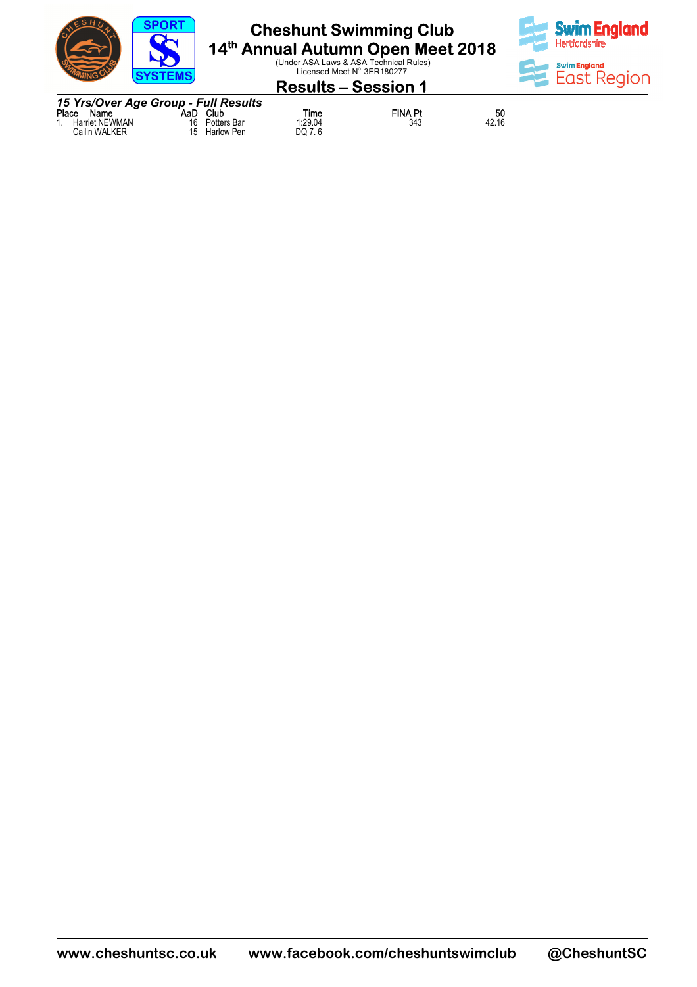



#### **Results – Session 1**

*15 Yrs/Over Age Group - Full Results* **Place Name The Place Club AaD Club**<br>1. Harriet NEWMAN 16 Potters Bar Cailin WALKER 15 Harlow Pen **Time 61 FINA Pt 50**<br>1:29.04 343 42.16  $Time$ <br>1:29.04<br>DQ 7.6

 $\frac{50}{42.16}$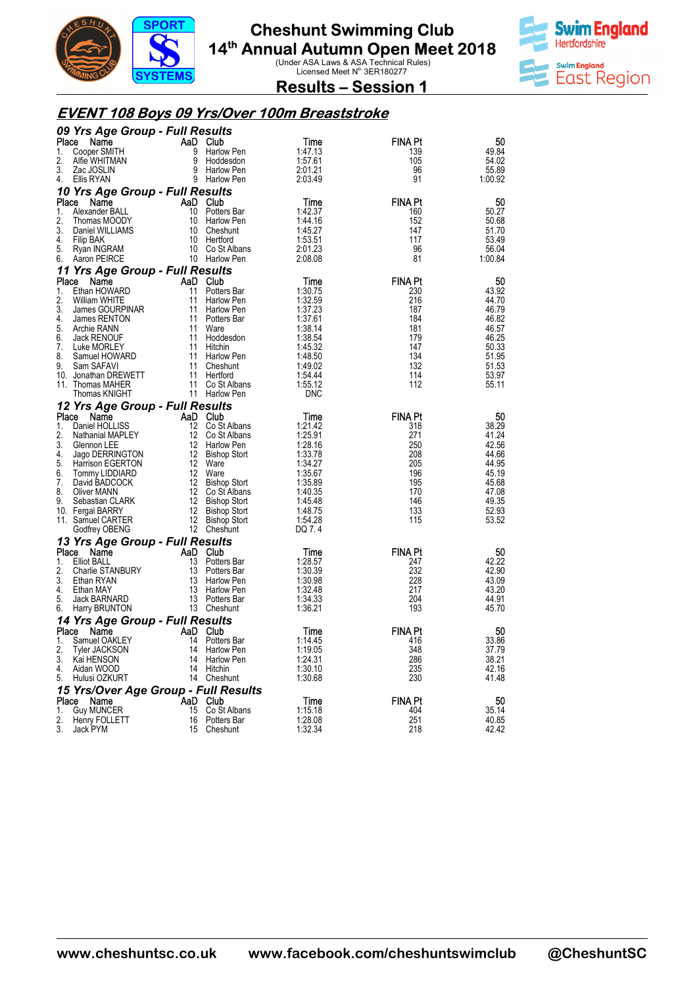



**Results – Session 1** 

#### **EVENT 108 Boys 09 Yrs/Over 100m Breaststroke**

|             | 09 Yrs Age Group - Full Results       |                  |                                        |                    |                       |                  |
|-------------|---------------------------------------|------------------|----------------------------------------|--------------------|-----------------------|------------------|
| Place       | Name                                  | AaD Club         |                                        | Time               | <b>FINA Pt</b>        | 50               |
| 1.          | Cooper SMITH                          | 9                | Harlow Pen                             | 1:47.13            | 139                   | 49.84            |
| 2.          | Alfie WHITMAN                         | 9                | Hoddesdon                              | 1:57.61            | 105                   | 54.02            |
| 3.<br>4.    | Zac JOSLIN<br>Ellis RYAN              | 9                | Harlow Pen<br>9 Harlow Pen             | 2:01.21<br>2:03.49 | 96<br>91              | 55.89<br>1:00.92 |
|             |                                       |                  |                                        |                    |                       |                  |
|             | 10 Yrs Age Group - Full Results       |                  |                                        |                    |                       |                  |
| Place<br>1. | Name<br>Alexander BALL                | AaD Club         | 10 Potters Bar                         | Time<br>1:42.37    | <b>FINA Pt</b><br>160 | 50<br>50.27      |
| 2.          | Thomas MOODY                          |                  | 10 Harlow Pen                          | 1:44.16            | 152                   | 50.68            |
| 3.          | Daniel WILLIAMS                       | 10               | Cheshunt                               | 1:45.27            | 147                   | 51.70            |
| 4.          | Filip BAK                             | 10               | Hertford                               | 1:53.51            | 117                   | 53.49            |
| 5.          | Ryan INGRAM                           |                  | 10 Co St Albans                        | 2:01.23            | 96                    | 56.04            |
| 6.          | Aaron PEIRCE                          |                  | 10 Harlow Pen                          | 2:08.08            | 81                    | 1:00.84          |
|             | 11 Yrs Age Group - Full Results       |                  |                                        |                    |                       |                  |
| Place       | Name                                  | AaD Club         |                                        | Time               | <b>FINA Pt</b>        | 50               |
| 1.          | Ethan HOWARD                          | 11               | Potters Bar                            | 1:30.75            | 230                   | 43.92            |
| 2.<br>3.    | William WHITE<br>James GOURPINAR      | 11<br>11         | Harlow Pen                             | 1:32.59<br>1:37.23 | 216<br>187            | 44.70<br>46.79   |
| 4.          | James RENTON                          | 11               | Harlow Pen<br>Potters Bar              | 1:37.61            | 184                   | 46.82            |
| 5.          | Archie RANN                           |                  | 11 Ware                                | 1:38.14            | 181                   | 46.57            |
| 6.          | Jack RENOUF                           | 11               | Hoddesdon                              | 1:38.54            | 179                   | 46.25            |
| 7.          | Luke MORLEY                           | 11               | Hitchin                                | 1:45.32            | 147                   | 50.33            |
| 8.          | Samuel HOWARD                         | 11               | Harlow Pen                             | 1:48.50            | 134                   | 51.95            |
| 9.          | Sam SAFAVI                            | 11               | Cheshunt                               | 1:49.02            | 132                   | 51.53            |
|             | 10. Jonathan DREWETT                  |                  | 11 Hertford                            | 1:54.44            | 114                   | 53.97            |
|             | 11. Thomas MAHER                      | 11               | Co St Albans                           | 1:55.12            | 112                   | 55.11            |
|             | Thomas KNIGHT                         |                  | 11 Harlow Pen                          | <b>DNC</b>         |                       |                  |
|             | 12 Yrs Age Group - Full Results       |                  |                                        |                    |                       |                  |
| 1.          | Place Name<br>Daniel HOLLISS          | AaD Club<br>12   | Co St Albans                           | Time<br>1:21.42    | <b>FINA Pt</b><br>318 | 50<br>38.29      |
| 2.          | <b>Nathanial MAPLEY</b>               | 12               | Co St Albans                           | 1:25.91            | 271                   | 41.24            |
| 3.          | Glennon LEE                           | 12               | Harlow Pen                             | 1:28.16            | 250                   | 42.56            |
| 4.          | Jago DERRINGTON                       | 12               | <b>Bishop Stort</b>                    | 1:33.78            | 208                   | 44.66            |
| 5.          | Harrison EGERTON                      | 12               | Ware                                   | 1:34.27            | 205                   | 44.95            |
| 6.          | Tommy LIDDIARD                        |                  | 12 Ware                                | 1:35.67            | 196                   | 45.19            |
| 7.          | David BADCOCK                         | 12               | <b>Bishop Stort</b>                    | 1:35.89            | 195                   | 45.68            |
| 8.          | <b>Oliver MANN</b>                    | 12               | Co St Albans                           | 1:40.35            | 170                   | 47.08            |
| 9.          | Sebastian CLARK                       | 12 <sup>12</sup> | <b>Bishop Stort</b>                    | 1:45.48            | 146                   | 49.35            |
|             | 10. Fergal BARRY<br>11. Samuel CARTER | 12               | <b>Bishop Stort</b><br>12 Bishop Stort | 1:48.75<br>1:54.28 | 133<br>115            | 52.93<br>53.52   |
|             | Godfrey OBENG                         |                  | 12 Cheshunt                            | DQ 7.4             |                       |                  |
|             | 13 Yrs Age Group - Full Results       |                  |                                        |                    |                       |                  |
| Place       | Name                                  | AaD Club         |                                        | Time               | <b>FINA Pt</b>        | 50               |
| 1.          | Elliot BALL                           | 13               | Potters Bar                            | 1:28.57            | 247                   | 42.22            |
| 2.          | Charlie STANBURY                      |                  | 13 Potters Bar                         | 1:30.39            | 232                   | 42.90            |
| 3.          | Ethan RYAN                            |                  | 13 Harlow Pen                          | 1:30.98            | 228                   | 43.09            |
| 4.          | Ethan MAY                             | 13               | Harlow Pen                             | 1:32.48            | 217                   | 43.20            |
| 5.          | Jack BARNARD                          |                  | 13 Potters Bar                         | 1:34.33            | 204                   | 44.91            |
| 6.          | Harry BRUNTON                         |                  | 13 Cheshunt                            | 1:36.21            | 193                   | 45.70            |
|             | 14 Yrs Age Group - Full Results       |                  |                                        |                    |                       |                  |
| Place       | Name                                  | AaD              | Club                                   | Time               | <b>FINA Pt</b>        | 50               |
| 1.<br>2.    | Samuel OAKLEY<br>Tyler JACKSON        | 14               | Potters Bar<br>14 Harlow Pen           | 1:14.45<br>1:19.05 | 416<br>348            | 33.86<br>37.79   |
| 3.          | Kai HENSON                            |                  | 14 Harlow Pen                          | 1:24.31            | 286                   | 38.21            |
| 4.          | Aidan WOOD                            |                  | 14 Hitchin                             | 1:30.10            | 235                   | 42.16            |
| 5.          | Hulusi OZKURT                         |                  | 14 Cheshunt                            | 1:30.68            | 230                   | 41.48            |
|             | 15 Yrs/Over Age Group - Full Results  |                  |                                        |                    |                       |                  |
|             | Place Name                            | AaD Club         |                                        | Time               | <b>FINA Pt</b>        | 50               |
| 1.          | <b>Guy MUNCER</b>                     | 15               | Co St Albans                           | 1:15.18            | 404                   | 35.14            |
| 2.          | Henry FOLLETT                         | 16               | Potters Bar                            | 1:28.08            | 251                   | 40.85            |
| 3.          | Jack PYM                              | 15               | Cheshunt                               | 1:32.34            | 218                   | 42.42            |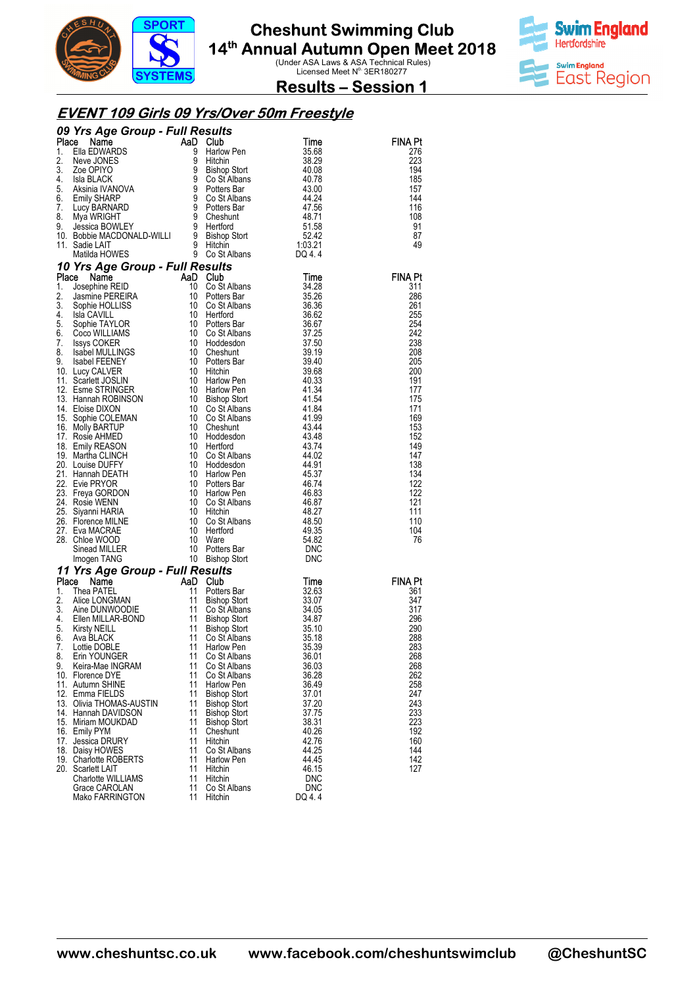



**Results – Session 1** 

#### **EVENT 109 Girls 09 Yrs/Over 50m Freestyle**

|          | 09 Yrs Age Group - Full Results                                                                                                                                                                                                                                                                |          |                                                                                                        |                |                |
|----------|------------------------------------------------------------------------------------------------------------------------------------------------------------------------------------------------------------------------------------------------------------------------------------------------|----------|--------------------------------------------------------------------------------------------------------|----------------|----------------|
|          |                                                                                                                                                                                                                                                                                                |          | es <i>uns</i><br>Club                                                                                  |                | FINA Pt        |
|          |                                                                                                                                                                                                                                                                                                |          |                                                                                                        |                | 276            |
|          |                                                                                                                                                                                                                                                                                                |          |                                                                                                        |                | 223            |
|          |                                                                                                                                                                                                                                                                                                |          |                                                                                                        |                | 194<br>185     |
|          |                                                                                                                                                                                                                                                                                                |          |                                                                                                        |                | 157            |
|          |                                                                                                                                                                                                                                                                                                |          |                                                                                                        |                | 144            |
|          |                                                                                                                                                                                                                                                                                                |          |                                                                                                        |                | 116            |
|          |                                                                                                                                                                                                                                                                                                |          |                                                                                                        |                | 108            |
|          |                                                                                                                                                                                                                                                                                                |          |                                                                                                        |                | 91             |
|          |                                                                                                                                                                                                                                                                                                |          |                                                                                                        |                | 87<br>49       |
|          |                                                                                                                                                                                                                                                                                                |          |                                                                                                        |                |                |
|          | <b>09 Yrs Age Group - Full Results<br/> 1.</b> Ella EDWARDS<br>1. Ella EDWARDS<br>2. New JONES<br>3. Zoe OPIYO<br>4. Isla BLACK<br>5. Aksinia IVANOVA<br>5. Aksinia IVANOVA<br>5. Aksinia IVANOVA<br>5. Aksinia IVANOVA<br>6. Emily SHARARD<br>7. Lucy BARN<br>10 Yrs Age Group - Full Results |          |                                                                                                        |                |                |
|          | <b>Yrs Age Group - Functional Control of Statement AaD Club</b><br>Josephine REID 10 Co Stalbans<br>Jasmine PEREIRA 30 Polters Bar<br>Sophie HOLLISS 10 Co Stalbans<br>Isla CAVILL 10 Hertford<br>Sophie TAYLOR 10 Potters Bar<br>Coco WILLIAMS<br>Place Name                                  |          |                                                                                                        | Time           | <b>FINA Pt</b> |
| 1.       |                                                                                                                                                                                                                                                                                                |          | Co St Albans<br>Potters Rar                                                                            | 34.28          | 311            |
| 2.       |                                                                                                                                                                                                                                                                                                |          |                                                                                                        | 35.26          | 286            |
| 3.       | Sophic TAYLOR<br>Sophie TAYLOR<br>Coco WILLIAMS<br>ISSNS COKER<br>ISSNS COKER<br>ISSNS COKER<br>ISSNS COKER<br>ISSNS COKER<br>10 Potters Bar<br>10 Potters Bar<br>11 Diction<br>10 Harlow Pen<br>12. Esme STRINGER<br>10 Harlow Pen<br>12. Esme STRINGER<br>                                   |          | Co St Albans                                                                                           | 36.36          | 261            |
|          |                                                                                                                                                                                                                                                                                                |          |                                                                                                        | 36.62          | 255            |
|          |                                                                                                                                                                                                                                                                                                |          |                                                                                                        | 36.67<br>37.25 | 254<br>242     |
|          |                                                                                                                                                                                                                                                                                                |          |                                                                                                        | 37.50          | 238            |
|          |                                                                                                                                                                                                                                                                                                |          |                                                                                                        | 39.19          | 208            |
|          |                                                                                                                                                                                                                                                                                                |          |                                                                                                        | 39.40          | 205            |
|          |                                                                                                                                                                                                                                                                                                |          |                                                                                                        | 39.68          | 200            |
|          |                                                                                                                                                                                                                                                                                                |          |                                                                                                        | 40.33          | 191            |
|          |                                                                                                                                                                                                                                                                                                |          |                                                                                                        | 41.34<br>41.54 | 177<br>175     |
|          |                                                                                                                                                                                                                                                                                                |          |                                                                                                        | 41.84          | 171            |
|          |                                                                                                                                                                                                                                                                                                |          |                                                                                                        | 41.99          | 169            |
|          |                                                                                                                                                                                                                                                                                                |          |                                                                                                        | 43.44          | 153            |
|          |                                                                                                                                                                                                                                                                                                |          |                                                                                                        | 43.48          | 152            |
|          |                                                                                                                                                                                                                                                                                                |          |                                                                                                        | 43.74          | 149            |
|          |                                                                                                                                                                                                                                                                                                |          |                                                                                                        | 44.02<br>44.91 | 147<br>138     |
|          |                                                                                                                                                                                                                                                                                                |          |                                                                                                        | 45.37          | 134            |
|          |                                                                                                                                                                                                                                                                                                |          |                                                                                                        | 46.74          | 122            |
|          | 23. Freya GORDON<br>24. Rosie WENN                                                                                                                                                                                                                                                             | 10       | Harlow Pen                                                                                             | 46.83          | 122            |
|          | 24. Rosie WENN                                                                                                                                                                                                                                                                                 | 10       | Co St Albans                                                                                           | 46.87          | 121            |
|          | 25. Siyanni HARIA                                                                                                                                                                                                                                                                              |          |                                                                                                        | 48.27          | 111            |
|          | 26. Florence MILNE<br>27. Eva MACRAE                                                                                                                                                                                                                                                           |          | Co St Albans                                                                                           | 48.50<br>49.35 | 110<br>104     |
|          | 28. Chloe WOOD                                                                                                                                                                                                                                                                                 |          |                                                                                                        | 54.82          | 76             |
|          | Sinead MILLER                                                                                                                                                                                                                                                                                  |          |                                                                                                        | DNC            |                |
|          | Imogen TANG                                                                                                                                                                                                                                                                                    |          | 10 Hitchin<br>10 Co St Albans<br>10 Hertford<br>10 Botters Bar<br>10 Bishop Stort<br>- 10 Bishop Stort | <b>DNC</b>     |                |
|          | 11 Yrs Age Group - Full Results                                                                                                                                                                                                                                                                |          |                                                                                                        |                |                |
|          | Place<br><b>CONSTRUCTED AND CULTER CONTROLLER STATEL AND CULTURE THE STATEL AND CULTURE AND CULTURE STATELY AND CULTURE STATELY AND CULTURE STATELY AND CULTURE STATELY AND ANNOUNCE STATELY AND A STATELY AND A STATE STATE OF A STATE S</b>                                                  |          |                                                                                                        | Time           | <b>FINA Pt</b> |
| 1.<br>2. |                                                                                                                                                                                                                                                                                                |          | Potters Bar                                                                                            | 32.63          | 361<br>347     |
| 3.       |                                                                                                                                                                                                                                                                                                |          | Bishop Stort<br>Co St Albans                                                                           | 33.07<br>34.05 | 317            |
| 4.       |                                                                                                                                                                                                                                                                                                |          | Bishop Stort                                                                                           | 34.87          | 296            |
| 5.       | Kirsty NEILL                                                                                                                                                                                                                                                                                   |          | Bishop Stort                                                                                           | 35.10          | 290            |
| 6.       |                                                                                                                                                                                                                                                                                                |          | Co St Albans                                                                                           | 35.18          | 288            |
|          | 7. Lottie DOBLE                                                                                                                                                                                                                                                                                |          | 11 Harlow Pen                                                                                          | 35.39          | 283            |
| 8.<br>9. | Erin YOUNGER<br>Keira-Mae INGRAM                                                                                                                                                                                                                                                               | 11<br>11 | Co St Albans<br>Co St Albans                                                                           | 36.01          | 268<br>268     |
|          | 10. Florence DYE                                                                                                                                                                                                                                                                               | 11       | Co St Albans                                                                                           | 36.03<br>36.28 | 262            |
|          | 11. Autumn SHINE                                                                                                                                                                                                                                                                               | 11       | Harlow Pen                                                                                             | 36.49          | 258            |
|          | 12. Emma FIELDS                                                                                                                                                                                                                                                                                | 11       | <b>Bishop Stort</b>                                                                                    | 37.01          | 247            |
|          | 13. Olivia THOMAS-AUSTIN                                                                                                                                                                                                                                                                       | 11       | <b>Bishop Stort</b>                                                                                    | 37.20          | 243            |
|          | 14. Hannah DAVIDSON                                                                                                                                                                                                                                                                            | 11       | <b>Bishop Stort</b>                                                                                    | 37.75          | 233            |
|          | 15. Miriam MOUKDAD<br>16. Emily PYM                                                                                                                                                                                                                                                            | 11<br>11 | <b>Bishop Stort</b><br>Cheshunt                                                                        | 38.31<br>40.26 | 223<br>192     |
|          | 17. Jessica DRURY                                                                                                                                                                                                                                                                              | 11       | Hitchin                                                                                                | 42.76          | 160            |
|          | 18. Daisy HOWES                                                                                                                                                                                                                                                                                | 11       | Co St Albans                                                                                           | 44.25          | 144            |
|          | 19. Charlotte ROBERTS                                                                                                                                                                                                                                                                          | 11       | <b>Harlow Pen</b>                                                                                      | 44.45          | 142            |
|          | 20. Scarlett LAIT                                                                                                                                                                                                                                                                              | 11       | Hitchin                                                                                                | 46.15          | 127            |
|          | <b>Charlotte WILLIAMS</b>                                                                                                                                                                                                                                                                      | 11       | Hitchin                                                                                                | <b>DNC</b>     |                |
|          | Grace CAROLAN<br>Mako FARRINGTON                                                                                                                                                                                                                                                               | 11<br>11 | Co St Albans<br>Hitchin                                                                                | DNC<br>DQ 4.4  |                |
|          |                                                                                                                                                                                                                                                                                                |          |                                                                                                        |                |                |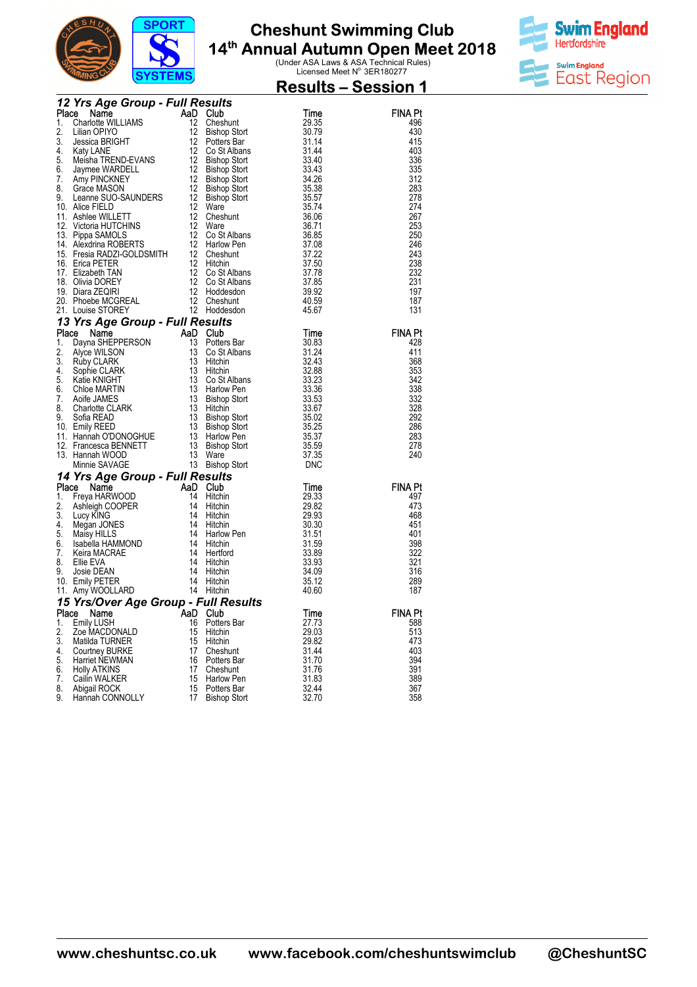

#### **Cheshunt Swimming Club 14th Annual Autumn Open Meet 2018 Club Ual Autumn Open Meet 2018**<br>Under ASA Laws & ASA Technical Rules)<br>Licensed Meet N<sup>o.</sup> 3ER180277



|          |                                                                                                                                                                                                                                                                    | $\sigma$ <sub>1</sub> $\sigma$ <sub>1</sub> $\mu$ <sub>1</sub> $\sigma$ <sub>1</sub> |          |                         |                                                          | <b>Results - Session 1</b> |
|----------|--------------------------------------------------------------------------------------------------------------------------------------------------------------------------------------------------------------------------------------------------------------------|--------------------------------------------------------------------------------------|----------|-------------------------|----------------------------------------------------------|----------------------------|
|          | <b>Frace National Property 12</b><br><b>Frace Community:</b><br>12 Cheshunt<br>1. Charlotte WILLIAMS<br>12 Cheshunt<br>12 Cheshunt<br>12 Cheshunt<br>12 Cheshunt<br>12 Cheshunt<br>12 Cheshunt<br>5. Missica BRIGHT<br>12 Cheshunt<br>6. Jayme WARDELL<br>12 Bisho |                                                                                      |          |                         |                                                          |                            |
|          |                                                                                                                                                                                                                                                                    |                                                                                      |          |                         |                                                          | <b>FINA Pt</b>             |
|          |                                                                                                                                                                                                                                                                    |                                                                                      |          |                         |                                                          | 496<br>430                 |
|          |                                                                                                                                                                                                                                                                    |                                                                                      |          |                         |                                                          | 415                        |
|          |                                                                                                                                                                                                                                                                    |                                                                                      |          |                         |                                                          | 403                        |
|          |                                                                                                                                                                                                                                                                    |                                                                                      |          |                         |                                                          | 336                        |
|          |                                                                                                                                                                                                                                                                    |                                                                                      |          |                         |                                                          | 335                        |
|          |                                                                                                                                                                                                                                                                    |                                                                                      |          |                         |                                                          | 312                        |
|          |                                                                                                                                                                                                                                                                    |                                                                                      |          |                         |                                                          | 283<br>278                 |
|          |                                                                                                                                                                                                                                                                    |                                                                                      |          |                         |                                                          | 274                        |
|          |                                                                                                                                                                                                                                                                    |                                                                                      |          |                         |                                                          | 267                        |
|          |                                                                                                                                                                                                                                                                    |                                                                                      |          |                         |                                                          | 253                        |
|          |                                                                                                                                                                                                                                                                    |                                                                                      |          |                         |                                                          | 250                        |
|          |                                                                                                                                                                                                                                                                    |                                                                                      |          |                         |                                                          | 246                        |
|          |                                                                                                                                                                                                                                                                    |                                                                                      |          |                         |                                                          | 243<br>238                 |
|          |                                                                                                                                                                                                                                                                    |                                                                                      |          |                         |                                                          | 232                        |
|          |                                                                                                                                                                                                                                                                    |                                                                                      |          |                         |                                                          | 231                        |
|          |                                                                                                                                                                                                                                                                    |                                                                                      |          |                         |                                                          | 197                        |
|          |                                                                                                                                                                                                                                                                    |                                                                                      |          |                         |                                                          | 187                        |
|          |                                                                                                                                                                                                                                                                    |                                                                                      |          |                         |                                                          | 131                        |
|          | 21. Louise STOREY<br>12. Hoddesdon<br>13 Yrs Age Group - Full Results<br>13 Yrs Age Group - Full Results<br>13 Cost Albans<br>2. Alyce WILSON<br>13 Cost Albans<br>3. Alyce WILSON<br>13 Cost Albans<br>3. 3.3.<br>2. Alyce WILSON<br>13 Cost Albans               |                                                                                      |          |                         |                                                          | <b>FINA Pt</b>             |
|          |                                                                                                                                                                                                                                                                    |                                                                                      |          |                         |                                                          | 428                        |
|          |                                                                                                                                                                                                                                                                    |                                                                                      |          |                         |                                                          | 411                        |
|          |                                                                                                                                                                                                                                                                    |                                                                                      |          |                         |                                                          | 368                        |
|          |                                                                                                                                                                                                                                                                    |                                                                                      |          |                         |                                                          | 353                        |
|          |                                                                                                                                                                                                                                                                    |                                                                                      |          |                         |                                                          | 342<br>338                 |
|          |                                                                                                                                                                                                                                                                    |                                                                                      |          |                         |                                                          | 332                        |
|          |                                                                                                                                                                                                                                                                    |                                                                                      |          |                         |                                                          | 328                        |
|          |                                                                                                                                                                                                                                                                    |                                                                                      |          |                         |                                                          | 292                        |
|          |                                                                                                                                                                                                                                                                    |                                                                                      |          |                         |                                                          | 286<br>283                 |
|          |                                                                                                                                                                                                                                                                    |                                                                                      |          |                         |                                                          | 278                        |
|          |                                                                                                                                                                                                                                                                    |                                                                                      |          |                         |                                                          | 240                        |
|          |                                                                                                                                                                                                                                                                    |                                                                                      |          |                         |                                                          |                            |
|          |                                                                                                                                                                                                                                                                    |                                                                                      |          |                         |                                                          |                            |
|          | <b>14 Yrs Age Group - Full Results</b><br><b>14 Yrs Age Group - Full Results</b><br><b>1.</b> Freya HARWOOD<br>1. Street MARWOOD<br>2. Ashleigh COOPER<br>1. Street MARWOOD<br>1. Megan JONES<br>4. Megan JONES<br>1. Megan JONES<br>5. Maisy HILLS<br>6. Isabell  |                                                                                      |          |                         | <b>Time</b><br>29.33<br>29.82<br>29.93<br>30.30<br>31.51 | <b>FINA Pt</b><br>497      |
|          |                                                                                                                                                                                                                                                                    |                                                                                      |          |                         |                                                          | 473                        |
|          |                                                                                                                                                                                                                                                                    |                                                                                      |          |                         |                                                          | 468                        |
|          |                                                                                                                                                                                                                                                                    |                                                                                      |          |                         |                                                          | 451                        |
|          |                                                                                                                                                                                                                                                                    |                                                                                      |          |                         | 31.51                                                    | 401                        |
|          |                                                                                                                                                                                                                                                                    |                                                                                      |          |                         | $\frac{31.59}{33.89}$                                    | 398<br>322                 |
|          |                                                                                                                                                                                                                                                                    |                                                                                      |          |                         | 33.93                                                    | 321                        |
|          |                                                                                                                                                                                                                                                                    |                                                                                      |          |                         | 34.09                                                    | 316                        |
|          |                                                                                                                                                                                                                                                                    |                                                                                      |          |                         | 35.12                                                    | 289                        |
|          |                                                                                                                                                                                                                                                                    |                                                                                      |          |                         | 40.60                                                    | 187                        |
|          | 15 Yrs/Over Age Group - Full Results<br>Place Name                                                                                                                                                                                                                 |                                                                                      | AaD Club |                         | Time                                                     | <b>FINA Pt</b>             |
| 1.       | Emily LUSH                                                                                                                                                                                                                                                         |                                                                                      | 16       | Potters Bar             | 27.73                                                    | 588                        |
| 2.       | Zoe MACDONALD                                                                                                                                                                                                                                                      |                                                                                      | 15       | Hitchin                 | 29.03                                                    | 513                        |
| 3.       | Matilda TURNER                                                                                                                                                                                                                                                     |                                                                                      | 15       | Hitchin                 | 29.82                                                    | 473                        |
| 4.       | Courtney BURKE                                                                                                                                                                                                                                                     |                                                                                      | 17       | Cheshunt                | 31.44                                                    | 403                        |
| 5.<br>6. | Harriet NEWMAN<br><b>Holly ATKINS</b>                                                                                                                                                                                                                              |                                                                                      | 16<br>17 | Potters Bar<br>Cheshunt | 31.70<br>31.76                                           | 394<br>391                 |
| 7.       | Cailin WALKER                                                                                                                                                                                                                                                      |                                                                                      | 15       | Harlow Pen              | 31.83                                                    | 389                        |
| 8.       | Abigail ROCK                                                                                                                                                                                                                                                       |                                                                                      | 15       | Potters Bar             | 32.44                                                    | 367                        |
| 9.       | Hannah CONNOLLY                                                                                                                                                                                                                                                    |                                                                                      | 17       | <b>Bishop Stort</b>     | 32.70                                                    | 358                        |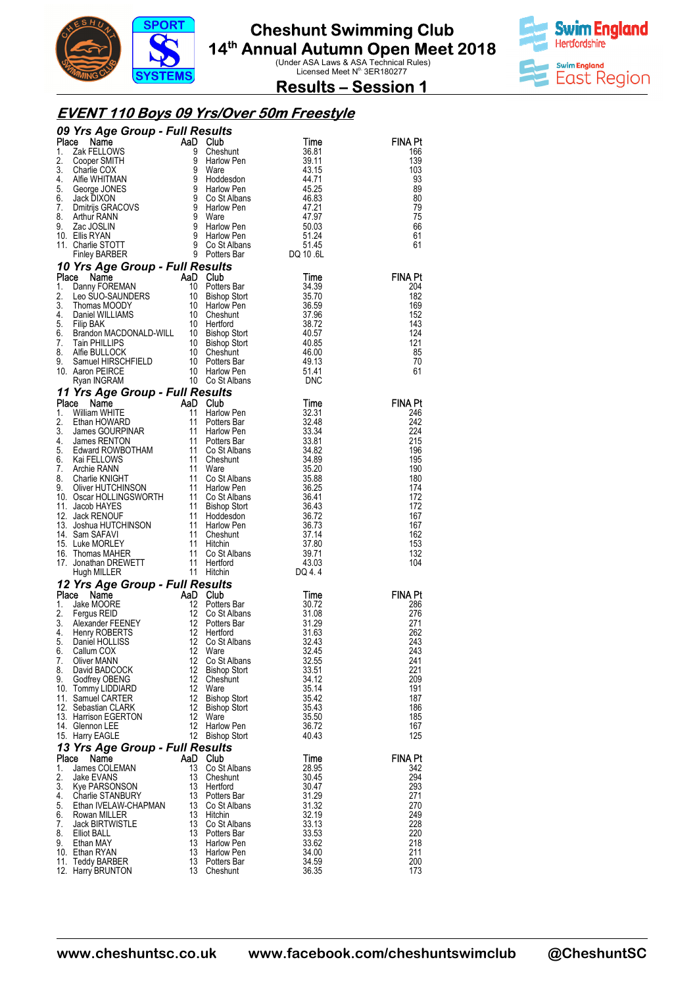



**Results – Session 1** 

#### **EVENT 110 Boys 09 Yrs/Over 50m Freestyle**

|          | 09 Yrs Age Group - Full Results<br><b>09 Yrs Age Group - Full Results<br/> 1.</b> Zak FELLOWS<br>1. Zak FELLOWS<br>3. Cooper SMITH<br>3. Charlie COX<br>3. Charlie COX<br>4. Alfie WHITMAN<br>5. George JONES<br>4. Alfie WHITMAN<br>5. George JONES<br>4. Alfie WHITMAN<br>5. George JONES<br>5            |          | <b>sults<br/>Club</b><br>Cheshunt                                                                    |                |                |
|----------|-------------------------------------------------------------------------------------------------------------------------------------------------------------------------------------------------------------------------------------------------------------------------------------------------------------|----------|------------------------------------------------------------------------------------------------------|----------------|----------------|
|          |                                                                                                                                                                                                                                                                                                             |          |                                                                                                      |                | FINA Pt        |
|          |                                                                                                                                                                                                                                                                                                             |          |                                                                                                      |                | 166<br>139     |
|          |                                                                                                                                                                                                                                                                                                             |          |                                                                                                      |                | 103            |
|          |                                                                                                                                                                                                                                                                                                             |          |                                                                                                      |                | 93             |
|          |                                                                                                                                                                                                                                                                                                             |          |                                                                                                      |                | 89             |
|          |                                                                                                                                                                                                                                                                                                             |          |                                                                                                      |                | 80<br>79       |
|          |                                                                                                                                                                                                                                                                                                             |          |                                                                                                      |                | 75             |
|          |                                                                                                                                                                                                                                                                                                             |          |                                                                                                      |                | 66             |
|          |                                                                                                                                                                                                                                                                                                             |          |                                                                                                      |                | 61             |
|          |                                                                                                                                                                                                                                                                                                             |          |                                                                                                      |                | 61             |
|          |                                                                                                                                                                                                                                                                                                             |          |                                                                                                      |                |                |
| Place    | 10 Yrs Age Group - Full Results<br><b>Yrs Age Group - Full Results<br/> Ce Name AaD Club<br/> Dany FOREMAN 10 Potters Bar<br/> Leo SUO-SAUNDERS 10 Bishop Stort<br/> Thomas MOODY 10 Harlow Pen<br/> Daniel WILLIAMS 10 Cheshunt<br/> Filip BAK<br/> Filip BAK<br/> Tain PHILLIPS 10 Bishop Stort<br/> </b> |          | e <i>sults</i><br>Club<br>Potters Bar                                                                | Time           | <b>FINA Pt</b> |
| 1.       |                                                                                                                                                                                                                                                                                                             |          |                                                                                                      | 34.39          | 204            |
| 2.       |                                                                                                                                                                                                                                                                                                             |          |                                                                                                      | 35.70          | 182            |
| 3.       |                                                                                                                                                                                                                                                                                                             |          |                                                                                                      | 36.59          | 169            |
| 4.<br>5. |                                                                                                                                                                                                                                                                                                             |          |                                                                                                      | 37.96<br>38.72 | 152<br>143     |
| 6.       |                                                                                                                                                                                                                                                                                                             |          |                                                                                                      | 40.57          | 124            |
| 7.       |                                                                                                                                                                                                                                                                                                             |          |                                                                                                      | 40.85          | 121            |
| 8.       |                                                                                                                                                                                                                                                                                                             |          |                                                                                                      | 46.00          | 85             |
| 9.       |                                                                                                                                                                                                                                                                                                             |          |                                                                                                      | 49.13          | 70             |
|          | 10. Aaron PEIRCE                                                                                                                                                                                                                                                                                            |          |                                                                                                      | 51.41<br>DNC   | 61             |
|          | 11 Yrs Age Group - Full Results                                                                                                                                                                                                                                                                             |          |                                                                                                      |                |                |
|          | 11 Yrs Age Group - Full Results<br>Name Man Club<br>11 Harlow Pen<br>2. Ethan HOWARD<br>11 Harlow Pen<br>3.3.31<br>2. Ethan HOWARD<br>11 Harlow Pen<br>11 Harlow Pen<br>3.3.34<br>4. James GOURPINAR<br>4. James RENTON<br>6. Kai FELLOWS<br>6. Kai FELL                                                    |          |                                                                                                      |                | <b>FINA Pt</b> |
|          |                                                                                                                                                                                                                                                                                                             |          |                                                                                                      |                | 246            |
|          |                                                                                                                                                                                                                                                                                                             |          |                                                                                                      |                | 242            |
|          |                                                                                                                                                                                                                                                                                                             |          |                                                                                                      |                | 224            |
|          |                                                                                                                                                                                                                                                                                                             |          |                                                                                                      |                | 215<br>196     |
|          |                                                                                                                                                                                                                                                                                                             |          |                                                                                                      |                | 195            |
|          |                                                                                                                                                                                                                                                                                                             |          |                                                                                                      |                | 190            |
|          |                                                                                                                                                                                                                                                                                                             |          |                                                                                                      |                | 180            |
|          |                                                                                                                                                                                                                                                                                                             |          |                                                                                                      |                | 174            |
|          |                                                                                                                                                                                                                                                                                                             |          |                                                                                                      |                | 172<br>172     |
|          |                                                                                                                                                                                                                                                                                                             |          |                                                                                                      |                | 167            |
|          |                                                                                                                                                                                                                                                                                                             |          |                                                                                                      |                | 167            |
|          |                                                                                                                                                                                                                                                                                                             |          |                                                                                                      |                | 162            |
|          |                                                                                                                                                                                                                                                                                                             |          |                                                                                                      |                | 153<br>132     |
|          |                                                                                                                                                                                                                                                                                                             |          |                                                                                                      |                | 104            |
|          |                                                                                                                                                                                                                                                                                                             |          |                                                                                                      |                |                |
|          | 12 Yrs Age Group - Full Results                                                                                                                                                                                                                                                                             |          | Hitchin<br><b>Club</b><br>Potters Bar<br>Co St Albans<br>Hertford<br>Co St Albans<br><sup>Ware</sup> |                |                |
|          | Place Name<br><b>Example 1 Developed AD Club</b><br>Jake MOORE<br>Fergus REID<br>Alexander FEENEY<br>12 Co St<br>Alexander FEENEY<br>12 Potter<br>Henry ROBERTS<br>Daniel HOLLISS<br>Callum COX<br>12 Co St<br>Callum COX<br>12 Co St                                                                       |          |                                                                                                      | Time           | <b>FINA Pt</b> |
| 1.       |                                                                                                                                                                                                                                                                                                             |          |                                                                                                      | 30.72          | 286            |
| 2.<br>3. |                                                                                                                                                                                                                                                                                                             |          |                                                                                                      | 31.08<br>31.29 | 276<br>271     |
| 4.       |                                                                                                                                                                                                                                                                                                             |          |                                                                                                      | 31.63          | 262            |
| 5.       |                                                                                                                                                                                                                                                                                                             |          |                                                                                                      | 32.43          | 243            |
|          | 6. Callum COX                                                                                                                                                                                                                                                                                               |          | 12 Ware                                                                                              | 32.45          | 243            |
| 7.       | Oliver MANN                                                                                                                                                                                                                                                                                                 | 12       | Co St Albans                                                                                         | 32.55          | 241            |
| 8.<br>9. | David BADCOCK<br>Godfrey OBENG                                                                                                                                                                                                                                                                              | 12<br>12 | <b>Bishop Stort</b><br>Cheshunt                                                                      | 33.51<br>34.12 | 221<br>209     |
|          | 10. Tommy LIDDIARD                                                                                                                                                                                                                                                                                          | 12       | Ware                                                                                                 | 35.14          | 191            |
|          | 11. Samuel CARTER                                                                                                                                                                                                                                                                                           | 12       | <b>Bishop Stort</b>                                                                                  | 35.42          | 187            |
|          | 12. Sebastian CLARK                                                                                                                                                                                                                                                                                         | 12       | <b>Bishop Stort</b>                                                                                  | 35.43          | 186            |
|          | 13. Harrison EGERTON<br>14. Glennon LEE                                                                                                                                                                                                                                                                     | 12<br>12 | Ware<br>Harlow Pen                                                                                   | 35.50<br>36.72 | 185<br>167     |
|          | 15. Harry EAGLE                                                                                                                                                                                                                                                                                             |          | 12 Bishop Stort                                                                                      | 40.43          | 125            |
|          | 13 Yrs Age Group - Full Results                                                                                                                                                                                                                                                                             |          |                                                                                                      |                |                |
| Place    | Name                                                                                                                                                                                                                                                                                                        |          | AaD Club                                                                                             | Time           | <b>FINA Pt</b> |
| 1.       | James COLEMAN                                                                                                                                                                                                                                                                                               | 13       | Co St Albans                                                                                         | 28.95          | 342            |
| 2.       | Jake EVANS                                                                                                                                                                                                                                                                                                  | 13       | Cheshunt                                                                                             | 30.45          | 294            |
| 3.<br>4. | Kye PARSONSON<br><b>Charlie STANBURY</b>                                                                                                                                                                                                                                                                    | 13<br>13 | Hertford<br>Potters Bar                                                                              | 30.47<br>31.29 | 293<br>271     |
| 5.       | Ethan IVELAW-CHAPMAN                                                                                                                                                                                                                                                                                        | 13       | Co St Albans                                                                                         | 31.32          | 270            |
| 6.       | Rowan MILLER                                                                                                                                                                                                                                                                                                | 13       | Hitchin                                                                                              | 32.19          | 249            |
| 7.       | <b>Jack BIRTWISTLE</b>                                                                                                                                                                                                                                                                                      | 13       | Co St Albans                                                                                         | 33.13          | 228            |
| 8.<br>9. | Elliot BALL<br>Ethan MAY                                                                                                                                                                                                                                                                                    | 13<br>13 | Potters Bar<br>Harlow Pen                                                                            | 33.53<br>33.62 | 220<br>218     |
|          | 10. Ethan RYAN                                                                                                                                                                                                                                                                                              | 13       | Harlow Pen                                                                                           | 34.00          | 211            |
|          | 11. Teddy BARBER                                                                                                                                                                                                                                                                                            | 13       | Potters Bar                                                                                          | 34.59          | 200            |
|          | 12. Harry BRUNTON                                                                                                                                                                                                                                                                                           |          | 13 Cheshunt                                                                                          | 36.35          | 173            |